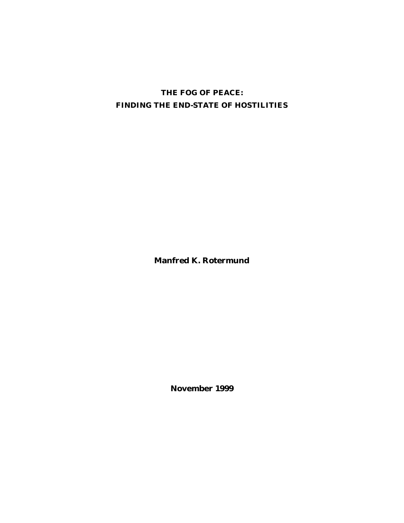# **THE FOG OF PEACE: FINDING THE END-STATE OF HOSTILITIES**

**Manfred K. Rotermund**

**November 1999**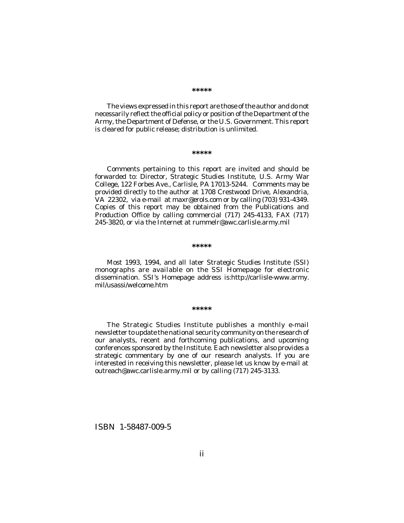The views expressed in this report are those of the author and do not necessarily reflect the official policy or position of the Department of the Army, the Department of Defense, or the U.S. Government. This report is cleared for public release; distribution is unlimited.

#### **\*\*\*\*\***

Comments pertaining to this report are invited and should be forwarded to: Director, Strategic Studies Institute, U.S. Army War College, 122 Forbes Ave., Carlisle, PA 17013-5244. Comments may be provided directly to the author at 1708 Crestwood Drive, Alexandria, VA 22302, via e-mail at maxr@erols.com or by calling (703) 931-4349. Copies of this report may be obtained from the Publications and Production Office by calling commercial (717) 245-4133, FAX (717) 245-3820, or via the Internet at rummelr@awc.carlisle.army.mil

#### **\*\*\*\*\***

Most 1993, 1994, and all later Strategic Studies Institute (SSI) monographs are available on the SSI Homepage for electronic dissemination. SSI's Homepage address is:http://carlisle-www.army. mil/usassi/welcome.htm

#### **\*\*\*\*\***

The Strategic Studies Institute publishes a monthly e-mail newsletter to update the national security community on the research of our analysts, recent and forthcoming publications, and upcoming conferences sponsored by the Institute. Each newsletter also provides a strategic commentary by one of our research analysts. If you are interested in receiving this newsletter, please let us know by e-mail at outreach@awc.carlisle.army.mil or by calling (717) 245-3133.

ISBN 1-58487-009-5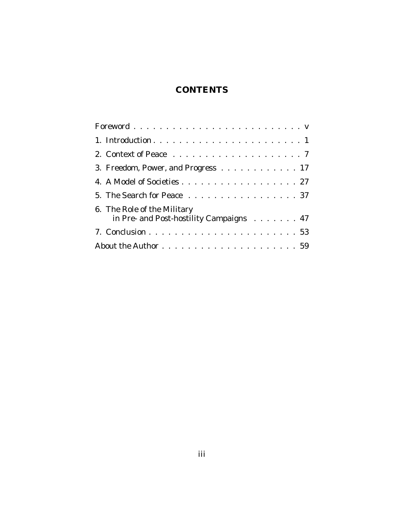# **CONTENTS**

| 3. Freedom, Power, and Progress 17                                     |
|------------------------------------------------------------------------|
| 4. A Model of Societies 27                                             |
| 5. The Search for Peace 37                                             |
| 6. The Role of the Military<br>in Pre- and Post-hostility Campaigns 47 |
|                                                                        |
|                                                                        |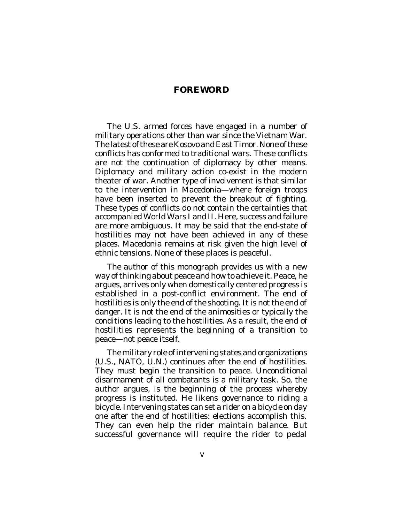## **FOREWORD**

The U.S. armed forces have engaged in a number of military operations other than war since the Vietnam War. The latest of these are Kosovo and East Timor. None of these conflicts has conformed to traditional wars. These conflicts are not the continuation of diplomacy by other means. Diplomacy and military action co-exist in the modern theater of war. Another type of involvement is that similar to the intervention in Macedonia—where foreign troops have been inserted to prevent the breakout of fighting. These types of conflicts do not contain the certainties that accompanied World Wars I and II. Here, success and failure are more ambiguous. It may be said that the end-state of hostilities may not have been achieved in any of these places. Macedonia remains at risk given the high level of ethnic tensions. None of these places is peaceful.

The author of this monograph provides us with a new way of thinking about peace and how to achieve it. Peace, he argues, arrives only when domestically centered progress is established in a post-conflict environment. The end of hostilities is only the end of the shooting. It is not the end of danger. It is not the end of the animosities or typically the conditions leading to the hostilities. As a result, the end of hostilities represents the beginning of a transition to peace—not peace itself.

The military role of intervening states and organizations (U.S., NATO, U.N.) continues after the end of hostilities. They must begin the transition to peace. Unconditional disarmament of all combatants is a military task. So, the author argues, is the beginning of the process whereby progress is instituted. He likens governance to riding a bicycle. Intervening states can set a rider on a bicycle on day one after the end of hostilities: elections accomplish this. They can even help the rider maintain balance. But successful governance will require the rider to pedal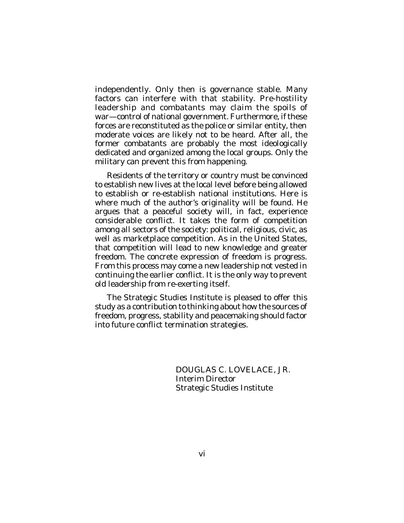independently. Only then is governance stable. Many factors can interfere with that stability. Pre-hostility leadership and combatants may claim the spoils of war—control of national government. Furthermore, if these forces are reconstituted as the police or similar entity, then moderate voices are likely not to be heard. After all, the former combatants are probably the most ideologically dedicated and organized among the local groups. Only the military can prevent this from happening.

Residents of the territory or country must be convinced to establish new lives at the local level before being allowed to establish or re-establish national institutions. Here is where much of the author's originality will be found. He argues that a peaceful society will, in fact, experience considerable conflict. It takes the form of competition among all sectors of the society: political, religious, civic, as well as marketplace competition. As in the United States, that competition will lead to new knowledge and greater freedom. The concrete expression of freedom is progress. From this process may come a new leadership not vested in continuing the earlier conflict. It is the only way to prevent old leadership from re-exerting itself.

The Strategic Studies Institute is pleased to offer this study as a contribution to thinking about how the sources of freedom, progress, stability and peacemaking should factor into future conflict termination strategies.

> DOUGLAS C. LOVELACE, JR. Interim Director Strategic Studies Institute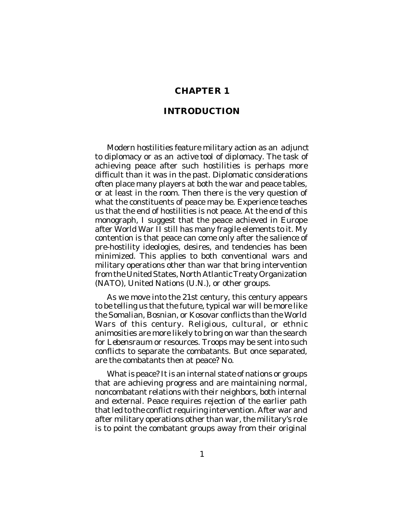## **CHAPTER 1**

## **INTRODUCTION**

Modern hostilities feature military action as an *adjunct* to diplomacy or as an *active tool* of diplomacy. The task of achieving peace after such hostilities is perhaps more difficult than it was in the past. Diplomatic considerations often place many players at both the war and peace tables, or at least in the room. Then there is the very question of what the constituents of peace may be. Experience teaches us that the end of hostilities is not peace. At the end of this monograph, I suggest that the peace achieved in Europe after World War II still has many fragile elements to it. My contention is that peace can come only after the salience of pre-hostility ideologies, desires, and tendencies has been minimized. This applies to both conventional wars and military operations other than war that bring intervention from the United States, North Atlantic Treaty Organization (NATO), United Nations (U.N.), or other groups.

As we move into the 21st century, this century appears to be telling us that the future, typical war will be more like the Somalian, Bosnian, or Kosovar conflicts than the World Wars of this century. Religious, cultural, or ethnic animosities are more likely to bring on war than the search for *Lebensraum* or resources. Troops may be sent into such conflicts to separate the combatants. But once separated, are the combatants then at peace? No.

What is peace? It is an internal state of nations or groups that are achieving progress and are maintaining normal, noncombatant relations with their neighbors, both internal and external. Peace requires rejection of the earlier path that led to the conflict requiring intervention. After war and after military operations other than war, the military's role is to point the combatant groups away from their original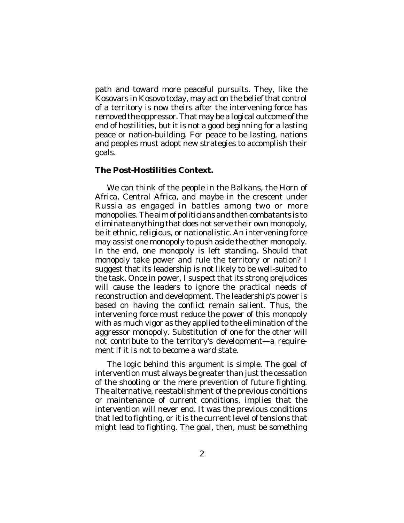path and toward more peaceful pursuits. They, like the Kosovars in Kosovo today, may act on the belief that control of a territory is now theirs after the intervening force has removed the oppressor. That may be a logical outcome of the end of hostilities, but it is not a good beginning for a lasting peace or nation-building. For peace to be lasting, nations and peoples must adopt new strategies to accomplish their goals.

## **The Post-Hostilities Context.**

We can think of the people in the Balkans, the Horn of Africa, Central Africa, and maybe in the crescent under Russia as engaged in battles among two or more monopolies. The aim of politicians and then combatants is to eliminate anything that does not serve their own monopoly, be it ethnic, religious, or nationalistic. An intervening force may assist one monopoly to push aside the other monopoly. In the end, one monopoly is left standing. Should that monopoly take power and rule the territory or nation? I suggest that its leadership is not likely to be well-suited to the task. Once in power, I suspect that its strong prejudices will cause the leaders to ignore the practical needs of reconstruction and development. The leadership's power is based on having the conflict remain salient. Thus, the intervening force must reduce the power of this monopoly with as much vigor as they applied to the elimination of the aggressor monopoly. Substitution of one for the other will not contribute to the territory's development—a requirement if it is not to become a ward state.

The logic behind this argument is simple. The goal of intervention must always be greater than just the cessation of the shooting or the mere prevention of future fighting. The alternative, reestablishment of the previous conditions or maintenance of current conditions, implies that the intervention will never end. It was the previous conditions that led to fighting, or it is the current level of tensions that might lead to fighting. The goal, then, must be something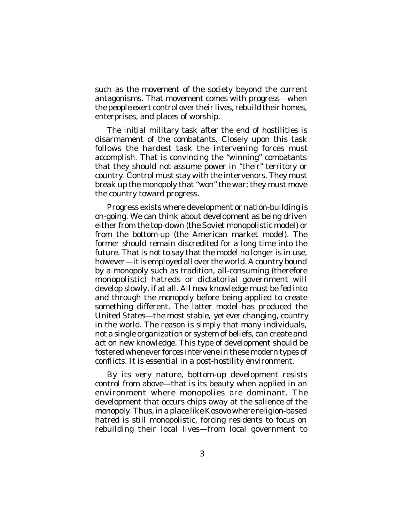such as the movement of the society beyond the current antagonisms. That movement comes with progress—when the people exert control over their lives, rebuild their homes, enterprises, and places of worship.

The initial military task after the end of hostilities is disarmament of the combatants. Closely upon this task follows the hardest task the intervening forces must accomplish. That is convincing the "winning" combatants that they should not assume power in "their" territory or country. Control must stay with the intervenors. They must break up the monopoly that "won" the war; they must move the country toward progress.

Progress exists where development or nation-building is on-going. We can think about development as being driven either from the top-down (the Soviet monopolistic model) or from the bottom-up (the American market model). The former should remain discredited for a long time into the future. That is not to say that the model no longer is in use, however—it is employed all over the world. A country bound by a monopoly such as tradition, all-consuming (therefore monopolistic) hatreds or dictatorial government will develop slowly, if at all. All new knowledge must be fed into and through the monopoly before being applied to create something different. The latter model has produced the United States—the most stable, *yet ever changing*, country in the world. The reason is simply that many individuals, not a single organization or system of beliefs, can create and act on new knowledge. This type of development should be fostered whenever forces intervene in these modern types of conflicts. It is essential in a post-hostility environment.

By its very nature, bottom-up development resists control from above—that is its beauty when applied in an environment where monopolies are dominant. The development that occurs chips away at the salience of the monopoly. Thus, in a place like Kosovo where religion-based hatred is still monopolistic, forcing residents to focus on rebuilding their local lives—from local government to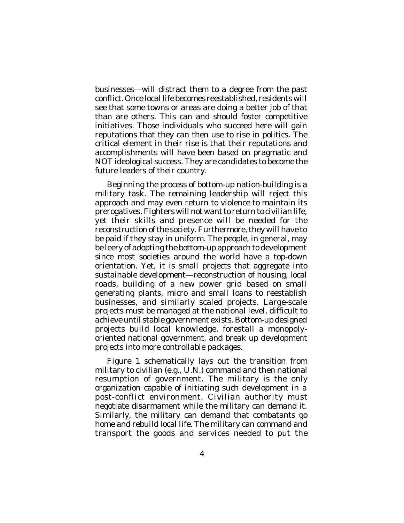businesses—will distract them to a degree from the past conflict. Once local life becomes reestablished, residents will see that some towns or areas are doing a better job of that than are others. This can and should foster competitive initiatives. Those individuals who succeed here will gain reputations that they can then use to rise in politics. The critical element in their rise is that their reputations and accomplishments will have been based on pragmatic and NOT ideological success. They are candidates to become the future leaders of their country.

Beginning the process of bottom-up nation-building is a military task. The remaining leadership will reject this approach and may even return to violence to maintain its prerogatives. Fighters will not want to return to civilian life, yet their skills and presence will be needed for the reconstruction of the society. Furthermore, they will have to be paid if they stay in uniform. The people, in general, may be leery of adopting the bottom-up approach to development since most societies around the world have a top-down orientation. Yet, it is small projects that aggregate into sustainable development—reconstruction of housing, local roads, building of a new power grid based on small generating plants, micro and small loans to reestablish businesses, and similarly scaled projects. Large-scale projects must be managed at the national level, difficult to achieve until stable government exists. Bottom-up designed projects build local knowledge, forestall a monopolyoriented national government, and break up development projects into more controllable packages.

Figure 1 schematically lays out the transition from military to civilian (e.g., U.N.) command and then national resumption of government. The military is the only organization capable of initiating such development in a post-conflict environment. Civilian authority must negotiate disarmament while the military can demand it. Similarly, the military can demand that combatants go home and rebuild local life. The military can command and transport the goods and services needed to put the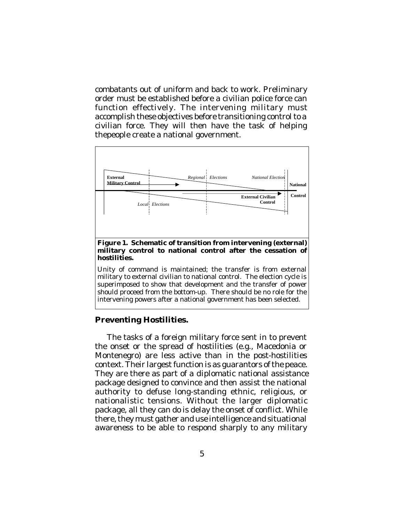combatants out of uniform and back to work. Preliminary order must be established before a civilian police force can function effectively. The intervening military must accomplish these objectives before transitioning control to a civilian force. They will then have the task of helping thepeople create a national government.



Unity of command is maintained; the transfer is from external military to external civilian to national control. The election cycle is superimposed to show that development and the transfer of power should proceed from the bottom-up. There should be no role for the intervening powers after a national government has been selected.

## **Preventing Hostilities.**

The tasks of a foreign military force sent in to prevent the onset or the spread of hostilities (e.g., Macedonia or Montenegro) are less active than in the post-hostilities context. Their largest function is as guarantors of the peace. They are there as part of a *diplomatic* national assistance package designed to convince and then assist the national authority to defuse long-standing ethnic, religious, or nationalistic tensions. Without the larger diplomatic package, all they can do is delay the onset of conflict. While there, they must gather and use intelligence and situational awareness to be able to respond sharply to any military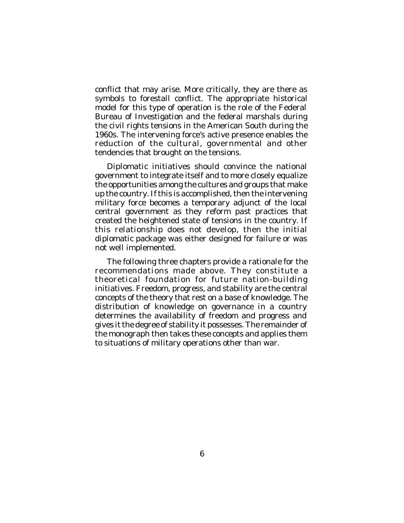conflict that may arise. More critically, they are there as symbols to forestall conflict. The appropriate historical model for this type of operation is the role of the Federal Bureau of Investigation and the federal marshals during the civil rights tensions in the American South during the 1960s. The intervening force's active presence enables the reduction of the cultural, governmental and other tendencies that brought on the tensions.

Diplomatic initiatives should convince the national government to integrate itself and to more closely equalize the opportunities among the cultures and groups that make up the country. If this is accomplished, then the intervening military force becomes a temporary adjunct of the local central government as they reform past practices that created the heightened state of tensions in the country. If this relationship does not develop, then the initial diplomatic package was either designed for failure or was not well implemented.

The following three chapters provide a rationale for the recommendations made above. They constitute a theoretical foundation for future nation-building initiatives. Freedom, progress, and stability are the central concepts of the theory that rest on a base of knowledge. The distribution of knowledge on governance in a country determines the availability of freedom and progress and gives it the degree of stability it possesses. The remainder of the monograph then takes these concepts and applies them to situations of military operations other than war.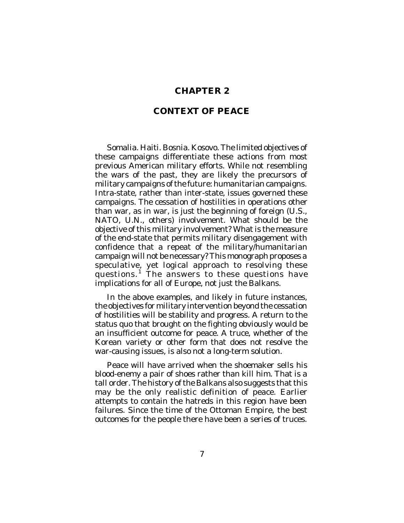## **CHAPTER 2**

## **CONTEXT OF PEACE**

Somalia. Haiti. Bosnia. Kosovo. The limited objectives of these campaigns differentiate these actions from most previous American military efforts. While not resembling the wars of the past, they are likely the precursors of military campaigns of the future: humanitarian campaigns. Intra-state, rather than inter-state, issues governed these campaigns. The cessation of hostilities in operations other than war, as in war, is just the beginning of foreign (U.S., NATO, U.N., others) involvement. What should be the objective of this military involvement? What is the measure of the end-state that permits military disengagement with confidence that a repeat of the military/humanitarian campaign will not be necessary? This monograph proposes a speculative, yet logical approach to resolving these questions.<sup>1</sup> The answers to these questions have implications for all of Europe, not just the Balkans.

In the above examples, and likely in future instances, the objectives for military intervention beyond the cessation of hostilities will be stability and progress. A return to the *status quo* that brought on the fighting obviously would be an insufficient outcome for peace. A truce, whether of the Korean variety or other form that does not resolve the war-causing issues, is also not a long-term solution.

Peace will have arrived when the shoemaker sells his blood-enemy a pair of shoes rather than kill him. That is a tall order. The history of the Balkans also suggests that this may be the only realistic definition of peace. Earlier attempts to contain the hatreds in this region have been failures. Since the time of the Ottoman Empire, the best outcomes for the people there have been a series of truces.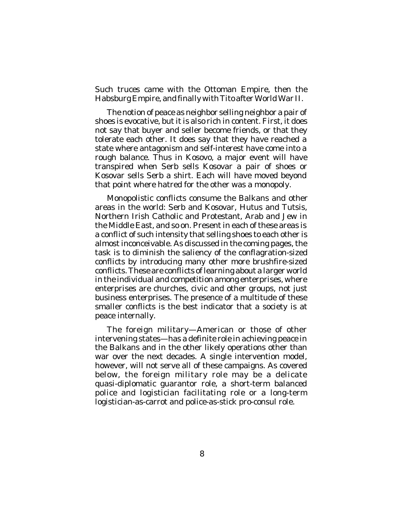Such truces came with the Ottoman Empire, then the Habsburg Empire, and finally with Tito after World War II.

The notion of peace as neighbor selling neighbor a pair of shoes is evocative, but it is also rich in content. First, it does not say that buyer and seller become friends, or that they tolerate each other. It does say that they have reached a state where antagonism and self-interest have come into a rough balance. Thus in Kosovo, a major event will have transpired when Serb sells Kosovar a pair of shoes or Kosovar sells Serb a shirt. Each will have moved beyond that point where hatred for the other was a monopoly.

Monopolistic conflicts consume the Balkans and other areas in the world: Serb and Kosovar, Hutus and Tutsis, Northern Irish Catholic and Protestant, Arab and Jew in the Middle East, and so on. Present in each of these areas is a conflict of such intensity that selling shoes to each other is almost inconceivable. As discussed in the coming pages, the task is to diminish the saliency of the conflagration-sized conflicts by introducing many other more brushfire-sized conflicts. These are conflicts of learning about a larger world in the individual and competition among enterprises, where enterprises are churches, civic and other groups, not just business enterprises. The presence of a multitude of these smaller conflicts is the best indicator that a society is at peace internally.

The foreign military—American or those of other intervening states—has a definite role in achieving peace in the Balkans and in the other likely operations other than war over the next decades. A single intervention model, however, will not serve all of these campaigns. As covered below, the foreign military role may be a delicate quasi-diplomatic guarantor role, a short-term balanced police and logistician facilitating role or a long-term logistician-as-carrot and police-as-stick pro-consul role.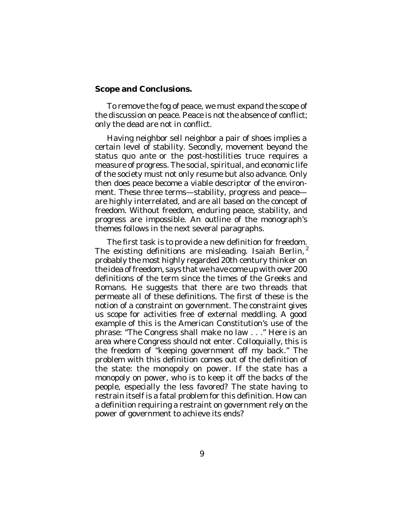#### **Scope and Conclusions.**

To remove the fog of peace, we must expand the scope of the discussion on peace. Peace is not the absence of conflict; only the dead are not in conflict.

Having neighbor sell neighbor a pair of shoes implies a certain level of stability. Secondly, movement beyond the *status quo ante* or the post-hostilities truce requires a measure of progress. The social, spiritual, and economic life of the society must not only resume but also advance. Only then does peace become a viable descriptor of the environment. These three terms—stability, progress and peace are highly interrelated, and are all based on the concept of freedom. Without freedom, enduring peace, stability, and progress are impossible. An outline of the monograph's themes follows in the next several paragraphs.

The first task is to provide a new definition for freedom. The existing definitions are misleading. Isaiah Berlin,  $2$ probably the most highly regarded 20th century thinker on the idea of freedom, says that we have come up with over 200 definitions of the term since the times of the Greeks and Romans. He suggests that there are two threads that permeate all of these definitions. The first of these is the notion of a constraint on government. The constraint gives us scope for activities free of external meddling. A good example of this is the American Constitution's use of the phrase: "The Congress shall make no law . . ." Here is an area where Congress should not enter. Colloquially, this is the freedom of "keeping government off my back." The problem with this definition comes out of the definition of the state: the monopoly on power. If the state has a monopoly on power, who is to keep it off the backs of the people, especially the less favored? The state having to restrain itself is a fatal problem for this definition. How can a definition requiring a restraint on government rely on the power of government to achieve its ends?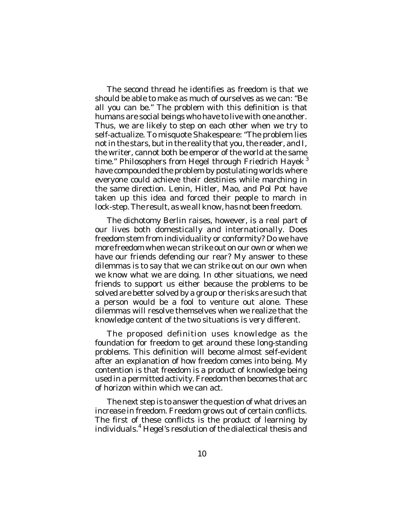The second thread he identifies as freedom is that we should be able to make as much of ourselves as we can: "Be all you can be." The problem with this definition is that humans are social beings who have to live with one another. Thus, we are likely to step on each other when we try to self-actualize. To misquote Shakespeare: "The problem lies not in the stars, but in the reality that you, the reader, and I, the writer, cannot both be emperor of the world at the same time." Philosophers from Hegel through Friedrich Hayek<sup>3</sup> have compounded the problem by postulating worlds where everyone could achieve their destinies while marching in the same direction. Lenin, Hitler, Mao, and Pol Pot have taken up this idea and forced their people to march in lock-step. The result, as we all know, has not been freedom.

The dichotomy Berlin raises, however, is a real part of our lives both domestically and internationally. Does freedom stem from individuality or conformity? Do we have more freedom when we can strike out on our own or when we have our friends defending our rear? My answer to these dilemmas is to say that we can strike out on our own when we know what we are doing. In other situations, we need friends to support us either because the problems to be solved are better solved by a group or the risks are such that a person would be a fool to venture out alone. These dilemmas will resolve themselves when we realize that the knowledge content of the two situations is very different.

The proposed definition uses knowledge as the foundation for freedom to get around these long-standing problems. This definition will become almost self-evident after an explanation of how freedom comes into being. My contention is that freedom is a product of knowledge being used in a permitted activity. Freedom then becomes that arc of horizon within which we can act.

The next step is to answer the question of what drives an increase in freedom. Freedom grows out of certain conflicts. The first of these conflicts is the product of learning by individuals.<sup>4</sup> Hegel's resolution of the dialectical thesis and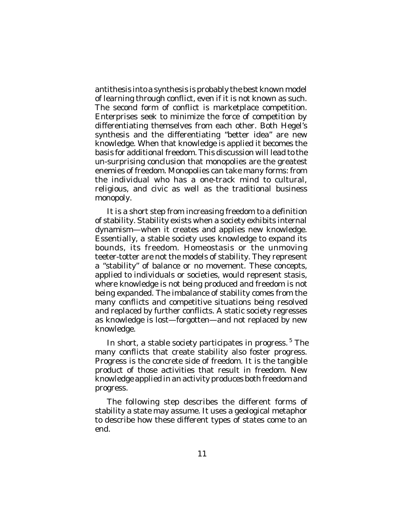antithesis into a synthesis is probably the best known model of learning through conflict, even if it is not known as such. The second form of conflict is marketplace competition. Enterprises seek to minimize the force of competition by differentiating themselves from each other. Both Hegel's synthesis and the differentiating "better idea" are new knowledge. When that knowledge is applied it becomes the basis for additional freedom. This discussion will lead to the *un*-surprising conclusion that monopolies are the greatest enemies of freedom. Monopolies can take many forms: from the individual who has a one-track mind to cultural. religious, and civic as well as the traditional business monopoly.

It is a short step from increasing freedom to a definition of stability. Stability exists when a society exhibits internal dynamism—when it creates and applies new knowledge. Essentially, a stable society uses knowledge to expand its bounds, its freedom. Homeostasis or the unmoving teeter-totter are not the models of stability. They represent a "stability" of balance or no movement. These concepts, applied to individuals or societies, would represent stasis, where knowledge is not being produced and freedom is not being expanded. The imbalance of stability comes from the many conflicts and competitive situations being resolved and replaced by further conflicts. A static society regresses as knowledge is lost—forgotten—and not replaced by new knowledge.

In short, a stable society participates in progress.<sup>5</sup> The many conflicts that create stability also foster progress. Progress is the concrete side of freedom. It is the tangible product of those activities that result in freedom. New knowledge applied in an activity produces both freedom and progress.

The following step describes the different forms of stability a state may assume. It uses a geological metaphor to describe how these different types of states come to an end.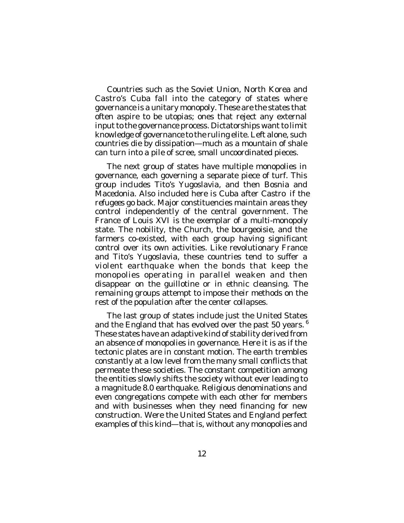Countries such as the Soviet Union, North Korea and Castro's Cuba fall into the category of states where governance is a unitary monopoly. These are the states that often aspire to be utopias; ones that reject any external input to the governance process. Dictatorships want to limit knowledge of governance to the ruling elite. Left alone, such countries die by dissipation—much as a mountain of shale can turn into a pile of scree, small uncoordinated pieces.

The next group of states have multiple monopolies in governance, each governing a separate piece of turf. This group includes Tito's Yugoslavia, and then Bosnia and Macedonia. Also included here is Cuba after Castro *if the refugees go back*. Major constituencies maintain areas they control independently of the central government. The France of Louis XVI is the exemplar of a multi-monopoly state. The nobility, the Church, the bourgeoisie, and the farmers co-existed, with each group having significant control over its own activities. Like revolutionary France and Tito's Yugoslavia, these countries tend to suffer a violent earthquake when the bonds that keep the monopolies operating in parallel weaken and then disappear on the guillotine or in ethnic cleansing. The remaining groups attempt to impose their methods on the rest of the population after the center collapses.

The last group of states include just the United States and the England that has evolved over the past 50 years. <sup>6</sup> These states have an adaptive kind of stability derived from an absence of monopolies in governance. Here it is as if the tectonic plates are in constant motion. The earth trembles constantly at a low level from the many small conflicts that permeate these societies. The constant competition among the entities slowly shifts the society without ever leading to a magnitude 8.0 earthquake. Religious denominations and even congregations compete with each other for members and with businesses when they need financing for new construction. Were the United States and England perfect examples of this kind—that is, without any monopolies and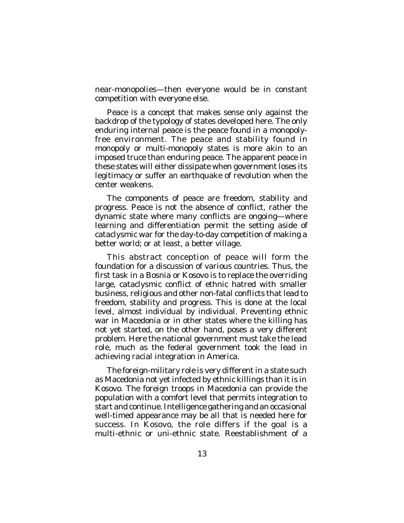near-monopolies—then everyone would be in constant competition with everyone else.

Peace is a concept that makes sense only against the backdrop of the typology of states developed here. The only enduring internal peace is the peace found in a monopolyfree environment. The peace and stability found in monopoly or multi-monopoly states is more akin to an imposed truce than enduring peace. The apparent peace in these states will either dissipate when government loses its legitimacy or suffer an earthquake of revolution when the center weakens.

The components of peace are freedom, stability and progress. Peace is not the absence of conflict, rather the dynamic state where many conflicts are ongoing—where learning and differentiation permit the setting aside of cataclysmic war for the day-to-day competition of making a better world; or at least, a better village.

This abstract conception of peace will form the foundation for a discussion of various countries. Thus, the first task in a Bosnia or Kosovo is to replace the overriding large, cataclysmic conflict of ethnic hatred with smaller business, religious and other non-fatal conflicts that lead to freedom, stability and progress. This is done at the local level, almost individual by individual. Preventing ethnic war in Macedonia or in other states where the killing has not yet started, on the other hand, poses a very different problem. Here the national government must take the lead role, much as the federal government took the lead in achieving racial integration in America.

The foreign-military role is very different in a state such as Macedonia not yet infected by ethnic killings than it is in Kosovo. The foreign troops in Macedonia can provide the population with a comfort level that permits integration to start and continue. Intelligence gathering and an occasional well-timed appearance may be all that is needed here for success. In Kosovo, the role differs if the goal is a multi-ethnic or uni-ethnic state. Reestablishment of a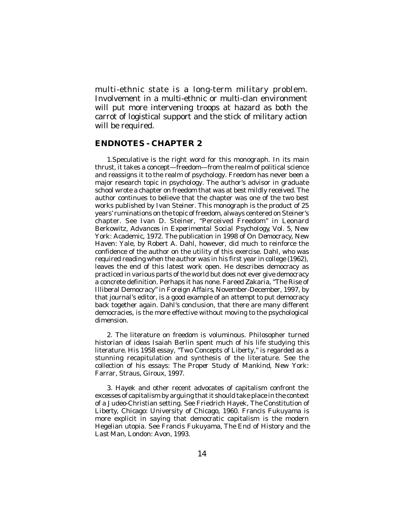multi-ethnic state is a long-term military problem. Involvement in a multi-ethnic or multi-clan environment will put more intervening troops at hazard as both the carrot of logistical support and the stick of military action will be required.

#### **ENDNOTES - CHAPTER 2**

1.Speculative is the right word for this monograph. In its main thrust, it takes a concept—freedom—from the realm of political science and reassigns it to the realm of psychology. Freedom has never been a major research topic in psychology. The author's advisor in graduate school wrote a chapter on freedom that was at best mildly received. The author continues to believe that the chapter was one of the two best works published by Ivan Steiner. This monograph is the product of 25 years' ruminations on the topic of freedom, always centered on Steiner's chapter. See Ivan D. Steiner, "Perceived Freedom" in Leonard Berkowitz, *Advances in Experimental Social Psychology*, Vol. 5, New York: Academic, 1972. The publication in 1998 of *On Democracy*, New Haven: Yale, by Robert A. Dahl, however, did much to reinforce the confidence of the author on the utility of this exercise. Dahl, who was required reading when the author was in his first year in college (1962), leaves the end of this latest work open. He describes democracy as practiced in various parts of the world but does not ever give democracy a concrete definition. Perhaps it has none. Fareed Zakaria, "The Rise of Illiberal Democracy" in *Foreign Affairs*, November-December, 1997, by that journal's editor, is a good example of an attempt to put democracy back together again. Dahl's conclusion, that there are many different democracies, is the more effective without moving to the psychological dimension.

2. The literature on freedom is voluminous. Philosopher turned historian of ideas Isaiah Berlin spent much of his life studying this literature. His 1958 essay, "Two Concepts of Liberty," is regarded as a stunning recapitulation and synthesis of the literature. See the collection of his essays: *The Proper Study of Mankind*, New York: Farrar, Straus, Giroux, 1997.

3. Hayek and other recent advocates of capitalism confront the excesses of capitalism by arguing that it should take place in the context of a Judeo-Christian setting. See Friedrich Hayek, *The Constitution of Liberty*, Chicago: University of Chicago, 1960. Francis Fukuyama is more explicit in saying that democratic capitalism is the modern Hegelian utopia. See Francis Fukuyama, *The End of History and the Last Man*, London: Avon, 1993.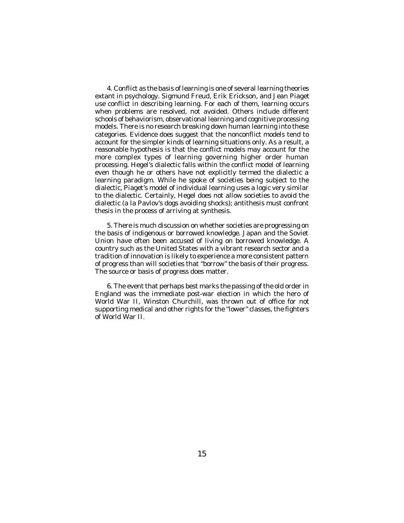4. Conflict as the basis of learning is one of several learning theories extant in psychology. Sigmund Freud, Erik Erickson, and Jean Piaget use conflict in describing learning. For each of them, learning occurs when problems are resolved, not avoided. Others include different schools of behaviorism, observational learning and cognitive processing models. There is no research breaking down human learning into these categories. Evidence does suggest that the nonconflict models tend to account for the simpler kinds of learning situations only. As a result, a reasonable hypothesis is that the conflict models may account for the more complex types of learning governing higher order human processing. Hegel's dialectic falls within the conflict model of learning even though he or others have not explicitly termed the dialectic a learning paradigm. While he spoke of societies being subject to the dialectic, Piaget's model of individual learning uses a logic very similar to the dialectic. Certainly, Hegel does not allow societies to avoid the dialectic (*a la* Pavlov's dogs avoiding shocks); antithesis must confront thesis in the process of arriving at synthesis.

5. There is much discussion on whether societies are progressing on the basis of indigenous or borrowed knowledge. Japan and the Soviet Union have often been accused of living on borrowed knowledge. A country such as the United States with a vibrant research sector and a tradition of innovation is likely to experience a more consistent pattern of progress than will societies that "borrow" the basis of their progress. The source or basis of progress does matter.

6. The event that perhaps best marks the passing of the old order in England was the immediate post-war election in which the hero of World War II, Winston Churchill, was thrown out of office for not supporting medical and other rights for the "lower" classes, the fighters of World War II.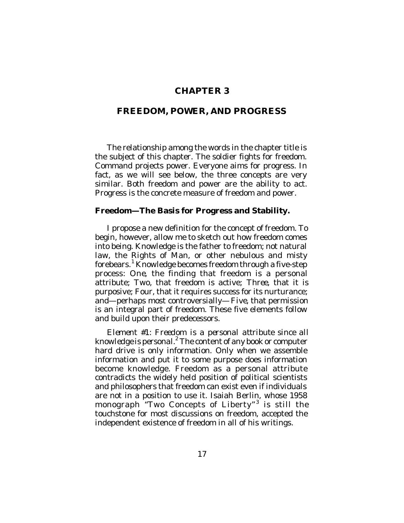## **CHAPTER 3**

## **FREEDOM, POWER, AND PROGRESS**

The relationship among the words in the chapter title is the subject of this chapter. The soldier fights for freedom. Command projects power. Everyone aims for progress. In fact, as we will see below, the three concepts are very similar. Both freedom and power are the ability to act. Progress is the concrete measure of freedom and power.

#### **Freedom—The Basis for Progress and Stability.**

I propose a new definition for the concept of freedom. To begin, however, allow me to sketch out how freedom comes into being. Knowledge is the father to freedom; not natural law, the Rights of Man, or other nebulous and misty forebears.<sup>1</sup> Knowledge becomes freedom through a five-step process: *One*, the finding that freedom is a personal attribute; *Two*, that freedom is active; *Three*, that it is purposive; *Four*, that it requires success for its nurturance; and—perhaps most controversially—*Five*, that permission is an integral part of freedom. These five elements follow and build upon their predecessors.

*Element #1: Freedom is a personal attribute since all* knowledge is personal.<sup>2</sup> The content of any book or computer hard drive is only information. Only when we assemble information and put it to some purpose does information become knowledge. Freedom as a personal attribute contradicts the widely held position of political scientists and philosophers that freedom can exist even if individuals are not in a position to use it. Isaiah Berlin, whose 1958 monograph "Two Concepts of Liberty"<sup>3</sup> is still the touchstone for most discussions on freedom, accepted the independent existence of freedom in all of his writings.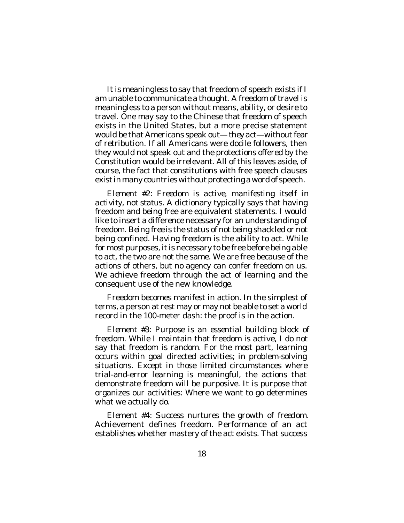It is meaningless to say that freedom of speech exists if I am unable to communicate a thought. A freedom of travel is meaningless to a person without means, ability, or desire to travel. One may say to the Chinese that freedom of speech exists in the United States, but a more precise statement would be that Americans speak out—*they act*—without fear of retribution. If all Americans were docile followers, then they would not speak out and the protections offered by the Constitution would be irrelevant. All of this leaves aside, of course, the fact that constitutions with free speech clauses exist in many countries without protecting a word of speech.

*Element #2: Freedom is active, manifesting itself in activity, not status*. A dictionary typically says that having freedom and being free are equivalent statements. I would like to insert a difference necessary for an understanding of freedom. *Being free* is the status of not being shackled or not being confined. *Having freedom* is the ability to act. While for most purposes, it is necessary to be free before being able to act, the two are not the same. We are free because of the actions of others, but no agency can confer freedom on us. We achieve freedom through the act of learning and the consequent use of the new knowledge.

Freedom becomes manifest in action. In the simplest of terms, a person at rest may or may not be able to set a world record in the 100-meter dash: the proof is in the action.

*Element #3: Purpose is an essential building block of freedom*. While I maintain that freedom is active, I do not say that freedom is random. For the most part, learning occurs within goal directed activities; in problem-solving situations. Except in those limited circumstances where trial-and-error learning is meaningful, the actions that demonstrate freedom will be purposive. It is purpose that organizes our activities: Where we want to go determines what we actually do.

*Element #4: Success nurtures the growth of freedom*. Achievement defines freedom. Performance of an act establishes whether mastery of the act exists. That success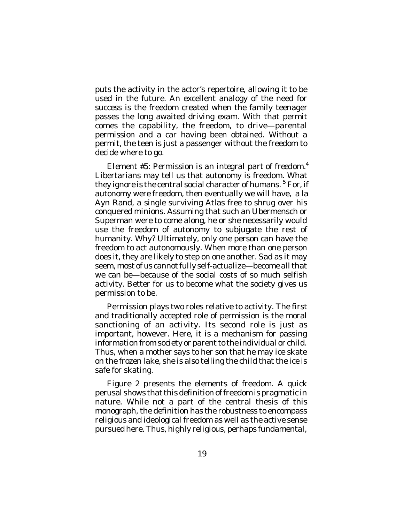puts the activity in the actor's repertoire, allowing it to be used in the future. An excellent analogy of the need for success is the freedom created when the family teenager passes the long awaited driving exam. With that permit comes the capability, the freedom, to drive—parental permission and a car having been obtained. Without a permit, the teen is just a passenger without the freedom to decide where to go.

*Element #5: Permission is an integral part of freedom*. 4 Libertarians may tell us that autonomy is freedom. What they ignore is the central social character of humans. <sup>5</sup> For, if autonomy were freedom, then eventually we will have, *a la* Ayn Rand, a single surviving Atlas free to shrug over his conquered minions. Assuming that such an Ubermensch or Superman were to come along, he or she necessarily would use the freedom of autonomy to subjugate the rest of humanity. Why? Ultimately, only one person can have the freedom to act autonomously. When more than one person does it, they are likely to step on one another. Sad as it may seem, most of us cannot fully self-actualize—become all that we can be—because of the social costs of so much selfish activity. Better for us to become what the society gives us permission to be.

Permission plays two roles relative to activity. The first and traditionally accepted role of permission is the moral sanctioning of an activity. Its second role is just as important, however. Here, it is a mechanism for passing information from society or parent to the individual or child. Thus, when a mother says to her son that he may ice skate on the frozen lake, she is also telling the child that the ice is safe for skating.

Figure 2 presents the elements of freedom. A quick perusal shows that this definition of freedom is pragmatic in nature. While not a part of the central thesis of this monograph, the definition has the robustness to encompass religious and ideological freedom as well as the active sense pursued here. Thus, highly religious, perhaps fundamental,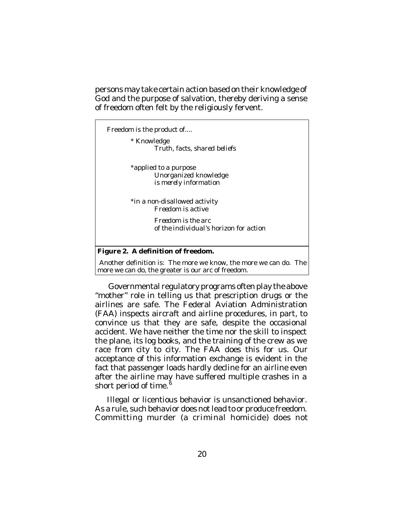persons may take certain action based on their knowledge of God and the purpose of salvation, thereby deriving a sense of freedom often felt by the religiously fervent.

Freedom is the product of....

\* Knowledge *Truth, facts, shared beliefs*

\*applied to a purpose *Unorganized knowledge is merely information*

\*in a non-disallowed activity *Freedom is active*

> *Freedom is the arc of the individual's horizon for action*

#### **Figure 2. A definition of freedom.**

 Another definition is: The more we know, the more we can do. The more we can do, the greater is our arc of freedom.

 Governmental regulatory programs often play the above "mother" role in telling us that prescription drugs or the airlines are safe. The Federal Aviation Administration (FAA) inspects aircraft and airline procedures, in part, to convince us that they are safe, despite the occasional accident. We have neither the time nor the skill to inspect the plane, its log books, and the training of the crew as we race from city to city. The FAA does this for us. Our acceptance of this information exchange is evident in the fact that passenger loads hardly decline for an airline even after the airline may have suffered multiple crashes in a short period of time. $^{\text{5}}$ 

Illegal or licentious behavior is unsanctioned behavior. As a rule, such behavior does not lead to or produce freedom. Committing murder (a criminal homicide) does not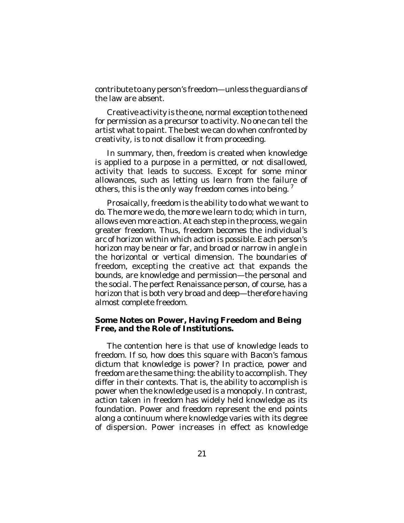contribute to any person's freedom—unless the guardians of the law are absent.

Creative activity is the one, normal exception to the need for permission as a precursor to activity. No one can tell the artist what to paint. The best we can do when confronted by creativity, is to not disallow it from proceeding.

In summary, then, freedom is created when knowledge is applied to a purpose in a permitted, or not disallowed, activity that leads to success. Except for some minor allowances, such as letting us learn from the failure of others, this is the only way freedom comes into being.  $^7$ 

Prosaically, freedom is the ability to do what we want to do. The more we do, the more we learn to do; which in turn, allows even more action. At each step in the process, we gain greater freedom. Thus, freedom becomes the individual's arc of horizon within which action is possible. Each person's horizon may be near or far, and broad or narrow in angle in the horizontal or vertical dimension. The boundaries of freedom, excepting the creative act that expands the bounds, are knowledge and permission—the personal and the social. The perfect Renaissance person, of course, has a horizon that is both very broad and deep—therefore having almost complete freedom.

#### **Some Notes on Power, Having Freedom and Being Free, and the Role of Institutions.**

The contention here is that use of knowledge leads to freedom. If so, how does this square with Bacon's famous dictum that knowledge is power? In practice, power and freedom are the same thing: the ability to accomplish. They differ in their contexts. That is, the ability to accomplish is power when the knowledge used is a monopoly. In contrast, action taken in freedom has widely held knowledge as its foundation. Power and freedom represent the end points along a continuum where knowledge varies with its degree of dispersion. Power increases in effect as knowledge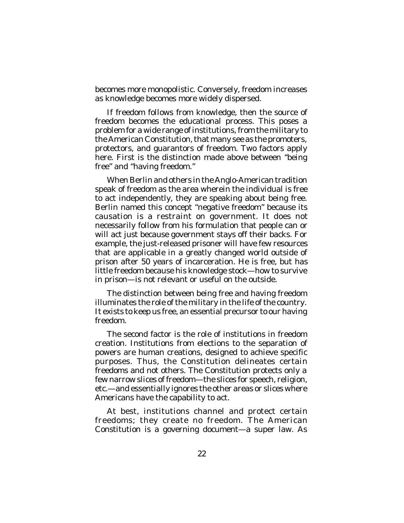becomes more monopolistic. Conversely, freedom increases as knowledge becomes more widely dispersed.

If freedom follows from knowledge, then the source of freedom becomes the educational process. This poses a problem for a wide range of institutions, from the military to the American Constitution, that many see as the promoters, protectors, and guarantors of freedom. Two factors apply here. First is the distinction made above between "being free" and "having freedom."

When Berlin and others in the Anglo-American tradition speak of freedom as the area wherein the individual is free to act independently, they are speaking about being free. Berlin named this concept "negative freedom" because its causation is a restraint on government. It does not necessarily follow from his formulation that people can or will act just because government stays off their backs. For example, the just-released prisoner will have few resources that are applicable in a greatly changed world outside of prison after 50 years of incarceration. He is free, but has little freedom because his knowledge stock—how to survive in prison—is not relevant or useful on the outside.

The distinction between being free and having freedom illuminates the role of the military in the life of the country. It exists to keep us free, an essential precursor to our having freedom.

The second factor is the role of institutions in freedom creation. Institutions from elections to the separation of powers are human creations, designed to achieve specific purposes. Thus, the Constitution delineates certain freedoms and not others. The Constitution protects only a few narrow slices of freedom—the slices for speech, religion, etc.—and essentially ignores the other areas or slices where Americans have the capability to act.

At best, institutions channel and protect certain freedoms; they create no freedom. The American Constitution is a governing document—a super law. As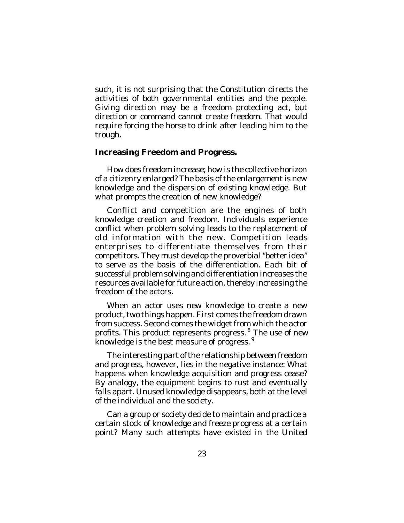such, it is not surprising that the Constitution directs the activities of both governmental entities and the people. Giving direction may be a freedom protecting act, but direction or command cannot create freedom. That would require forcing the horse to drink after leading him to the trough.

## **Increasing Freedom and Progress.**

How does freedom increase; how is the collective horizon of a citizenry enlarged? The basis of the enlargement is new knowledge and the dispersion of existing knowledge. But what prompts the creation of new knowledge?

Conflict and competition are the engines of both knowledge creation and freedom. Individuals experience conflict when problem solving leads to the replacement of old information with the new. Competition leads enterprises to differentiate themselves from their competitors. They must develop the proverbial "better idea" to serve as the basis of the differentiation. Each bit of successful problem solving and differentiation increases the resources available for future action, thereby increasing the freedom of the actors.

When an actor uses new knowledge to create a new product, two things happen. First comes the freedom drawn from success. Second comes the widget from which the actor profits. This product represents progress. <sup>8</sup> The use of new knowledge is the best measure of progress.<sup>9</sup>

The interesting part of the relationship between freedom and progress, however, lies in the negative instance: What happens when knowledge acquisition and progress cease? By analogy, the equipment begins to rust and eventually falls apart. Unused knowledge disappears, both at the level of the individual and the society.

Can a group or society decide to maintain and practice a certain stock of knowledge and freeze progress at a certain point? Many such attempts have existed in the United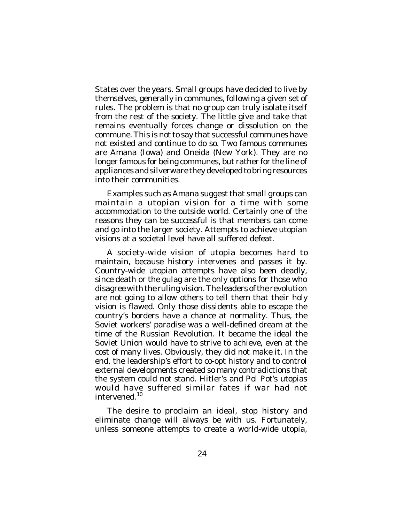States over the years. Small groups have decided to live by themselves, generally in communes, following a given set of rules. The problem is that no group can truly isolate itself from the rest of the society. The little give and take that remains eventually forces change or dissolution on the commune. This is not to say that successful communes have not existed and continue to do so. Two famous communes are Amana (Iowa) and Oneida (New York). They are no longer famous for being communes, but rather for the line of appliances and silverware they developed to bring resources into their communities.

Examples such as Amana suggest that small groups can maintain a utopian vision for a time with some accommodation to the outside world. Certainly one of the reasons they can be successful is that members can come and go into the larger society. Attempts to achieve utopian visions at a societal level have all suffered defeat.

A society-wide vision of utopia becomes hard to maintain, because history intervenes and passes it by. Country-wide utopian attempts have also been deadly, since death or the gulag are the only options for those who disagree with the ruling vision. The leaders of the revolution are not going to allow others to tell them that their holy vision is flawed. Only those dissidents able to escape the country's borders have a chance at normality. Thus, the Soviet workers' paradise was a well-defined dream at the time of the Russian Revolution. It became the ideal the Soviet Union would have to strive to achieve, even at the cost of many lives. Obviously, they did not make it. In the end, the leadership's effort to co-opt history and to control external developments created so many contradictions that the system could not stand. Hitler's and Pol Pot's utopias would have suffered similar fates if war had not intervened. 10

The desire to proclaim an ideal, stop history and eliminate change will always be with us. Fortunately, unless someone attempts to create a world-wide utopia,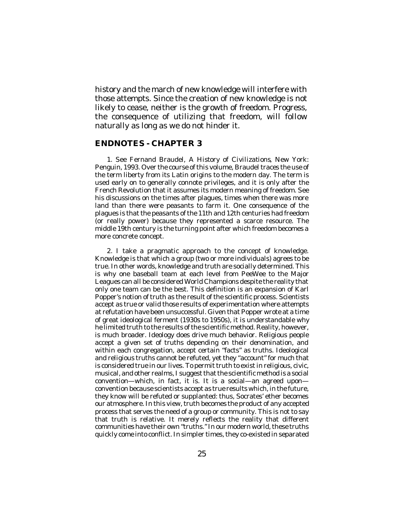history and the march of new knowledge will interfere with those attempts. Since the creation of new knowledge is not likely to cease, neither is the growth of freedom. Progress, the consequence of utilizing that freedom, will follow naturally as long as we do not hinder it.

#### **ENDNOTES - CHAPTER 3**

1. See Fernand Braudel, *A History of Civilizations*, New York: Penguin, 1993. Over the course of this volume, Braudel traces the use of the term liberty from its Latin origins to the modern day. The term is used early on to generally connote privileges, and it is only after the French Revolution that it assumes its modern meaning of freedom. See his discussions on the times after plagues, times when there was more land than there were peasants to farm it. One consequence of the plagues is that the peasants of the 11th and 12th centuries had freedom (or really power) because they represented a scarce resource. The middle 19th century is the turning point after which freedom becomes a more concrete concept.

2. I take a pragmatic approach to the concept of knowledge. Knowledge is that which a group (two or more individuals) agrees to be true. In other words, knowledge and truth are socially determined. This is why one baseball team at each level from PeeWee to the Major Leagues can all be considered World Champions despite the reality that only one team can be the best. This definition is an expansion of Karl Popper's notion of truth as the result of the scientific process. Scientists accept as true or valid those results of experimentation where attempts at refutation have been unsuccessful. Given that Popper wrote at a time of great ideological ferment (1930s to 1950s), it is understandable why he limited truth to the results of the scientific method. Reality, however, is much broader. Ideology does drive much behavior. Religious people accept a given set of truths depending on their denomination, and within each congregation, accept certain "facts" as truths. Ideological and religious truths cannot be refuted, yet they "account" for much that is considered true in our lives. To permit truth to exist in religious, civic, musical, and other realms, I suggest that the scientific method is a social convention—which, in fact, it is. It is a social—an agreed upon convention because scientists accept as true results which, in the future, they know will be refuted or supplanted: thus, Socrates' ether becomes our atmosphere. In this view, truth becomes the product of any accepted process that serves the need of a group or community. This is not to say that truth is relative. It merely reflects the reality that different communities have their own "truths." In our modern world, these truths quickly come into conflict. In simpler times, they co-existed in separated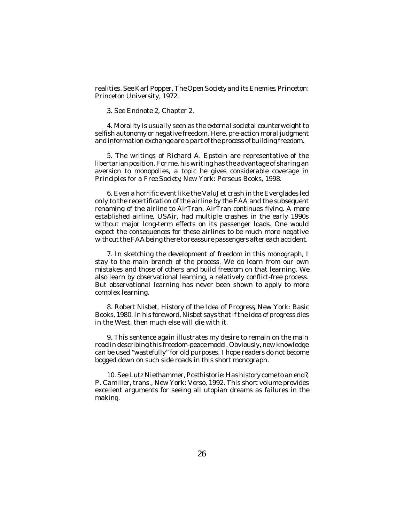realities. See Karl Popper, *The Open Society and its Enemies*, Princeton: Princeton University, 1972.

3. See Endnote 2, Chapter 2.

4. Morality is usually seen as the *external* societal counterweight to selfish autonomy or negative freedom. Here, pre-action moral judgment and information exchange are a part of the process of building freedom.

5. The writings of Richard A. Epstein are representative of the libertarian position. For me, his writing has the advantage of sharing an aversion to monopolies, a topic he gives considerable coverage in *Principles for a Free Society*, New York: Perseus Books, 1998.

6. Even a horrific event like the ValuJet crash in the Everglades led only to the recertification of the airline by the FAA and the subsequent renaming of the airline to AirTran. AirTran continues flying. A more established airline, USAir, had multiple crashes in the early 1990s without major long-term effects on its passenger loads. One would expect the consequences for these airlines to be much more negative without the FAA being there to reassure passengers after each accident.

7. In sketching the development of freedom in this monograph, I stay to the main branch of the process. We do learn from our own mistakes and those of others and build freedom on that learning. We also learn by observational learning, a relatively conflict-free process. But observational learning has never been shown to apply to more complex learning.

8. Robert Nisbet, *History of the Idea of Progress*, New York: Basic Books, 1980. In his foreword, Nisbet says that if the idea of progress dies in the West, then much else will die with it.

9. This sentence again illustrates my desire to remain on the main road in describing this freedom-peace model. Obviously, new knowledge can be used "wastefully" for old purposes. I hope readers do not become bogged down on such side roads in this short monograph.

10. See Lutz Niethammer,*Posthistorie: Has history come to an end?*, P. Camiller, trans., New York: Verso, 1992. This short volume provides excellent arguments for seeing all utopian dreams as failures in the making.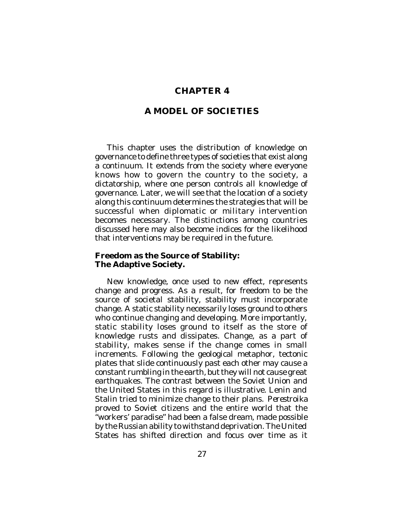## **CHAPTER 4**

#### **A MODEL OF SOCIETIES**

This chapter uses the distribution of knowledge on governance to define three types of societies that exist along a continuum. It extends from the society where everyone knows how to govern the country to the society, a dictatorship, where one person controls all knowledge of governance. Later, we will see that the location of a society along this continuum determines the strategies that will be successful when diplomatic or military intervention becomes necessary. The distinctions among countries discussed here may also become indices for the likelihood that interventions may be required in the future.

#### **Freedom as the Source of Stability: The Adaptive Society.**

New knowledge, once used to new effect, represents change and progress. As a result, for freedom to be the source of societal stability, stability must incorporate change. A static stability necessarily loses ground to others who continue changing and developing. More importantly, static stability loses ground to itself as the store of knowledge rusts and dissipates. Change, as a part of stability, makes sense if the change comes in small increments. Following the geological metaphor, tectonic plates that slide continuously past each other may cause a constant rumbling in the earth, but they will not cause great earthquakes. The contrast between the Soviet Union and the United States in this regard is illustrative. Lenin and Stalin tried to minimize change to their plans. *Perestroika* proved to Soviet citizens and the entire world that the "workers' paradise" had been a false dream, made possible by the Russian ability to withstand deprivation. The United States has shifted direction and focus over time as it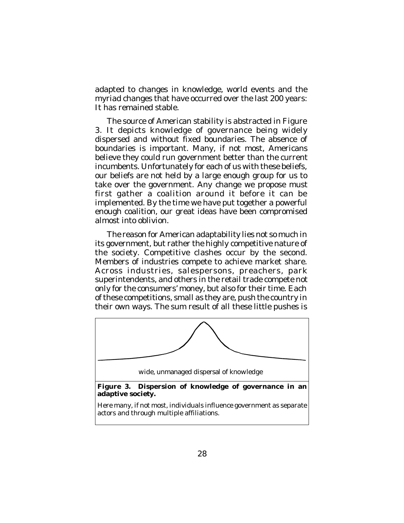adapted to changes in knowledge, world events and the myriad changes that have occurred over the last 200 years: It has remained stable.

The source of American stability is abstracted in Figure 3. It depicts knowledge of governance being widely dispersed and without fixed boundaries. The absence of boundaries is important. Many, if not most, Americans believe they could run government better than the current incumbents. Unfortunately for each of us with these beliefs, our beliefs are not held by a large enough group for us to take over the government. Any change we propose must first gather a coalition around it before it can be implemented. By the time we have put together a powerful enough coalition, our great ideas have been compromised almost into oblivion.

The reason for American adaptability lies not so much in its government, but rather the highly competitive nature of the society. Competitive clashes occur by the second. Members of industries compete to achieve market share. Across industries, salespersons, preachers, park superintendents, and others in the retail trade compete not only for the consumers' money, but also for their time. Each of these competitions, small as they are, push the country in their own ways. The sum result of all these little pushes is

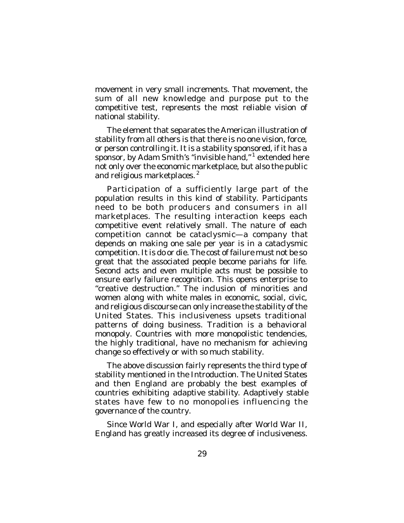movement in very small increments. That movement, the sum of all new knowledge and purpose put to the competitive test, represents the most reliable vision of national stability.

The element that separates the American illustration of stability from all others is that there is no one vision, force, or person controlling it. It is a stability sponsored, if it has a sponsor, by Adam Smith's "invisible hand,"<sup>1</sup> extended here not only over the economic marketplace, but also the public and religious marketplaces.<sup>2</sup>

Participation of a sufficiently large part of the population results in this kind of stability. Participants need to be both producers and consumers in all marketplaces. The resulting interaction keeps each competitive event relatively small. The nature of each competition cannot be cataclysmic—a company that depends on making one sale per year is in a cataclysmic competition. It is do or die. The cost of failure must not be so great that the associated people become pariahs for life. Second acts and even multiple acts must be possible to ensure early failure recognition. This opens enterprise to "creative destruction." The inclusion of minorities and women along with white males in economic, social, civic, and religious discourse can only increase the stability of the United States. This inclusiveness upsets traditional patterns of doing business. Tradition is a behavioral monopoly. Countries with more monopolistic tendencies, the highly traditional, have no mechanism for achieving change so effectively or with so much stability.

The above discussion fairly represents the third type of stability mentioned in the Introduction. The United States and then England are probably the best examples of countries exhibiting *adaptive stability*. Adaptively stable states have few to no monopolies influencing the governance of the country.

Since World War I, and especially after World War II, England has greatly increased its degree of inclusiveness.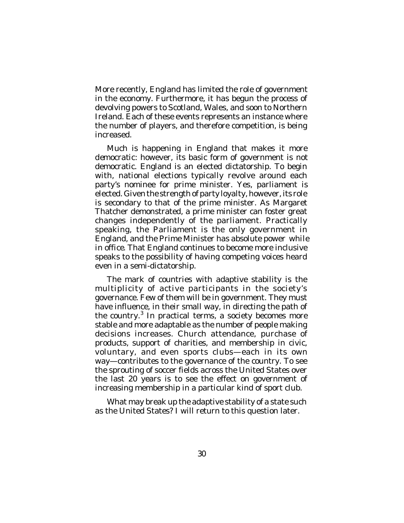More recently, England has limited the role of government in the economy. Furthermore, it has begun the process of devolving powers to Scotland, Wales, and soon to Northern Ireland. Each of these events represents an instance where the number of players, and therefore competition, is being increased.

Much is happening in England that makes it more *democratic*: however, its basic form of government is not democratic. England is an elected dictatorship. To begin with, national elections typically revolve around each party's nominee for prime minister. Yes, parliament is elected. Given the strength of party loyalty, however, its role is secondary to that of the prime minister. As Margaret Thatcher demonstrated, a prime minister can foster great changes independently of the parliament. Practically speaking, the Parliament is the only government in England, and the Prime Minister has absolute power *while in office*. That England continues to become more inclusive speaks to the possibility of having competing voices heard even in a semi-dictatorship.

The mark of countries with adaptive stability is the multiplicity of active participants in the society's governance. Few of them will be in government. They must have influence, in their small way, in directing the path of the country. 3 In practical terms, a society becomes more stable and more adaptable as the number of people making decisions increases. Church attendance, purchase of products, support of charities, and membership in civic, voluntary, and even sports clubs—each in its own way—contributes to the governance of the country. To see the sprouting of soccer fields across the United States over the last 20 years is to see the effect on government of increasing membership in a particular kind of sport club.

What may break up the adaptive stability of a state such as the United States? I will return to this question later.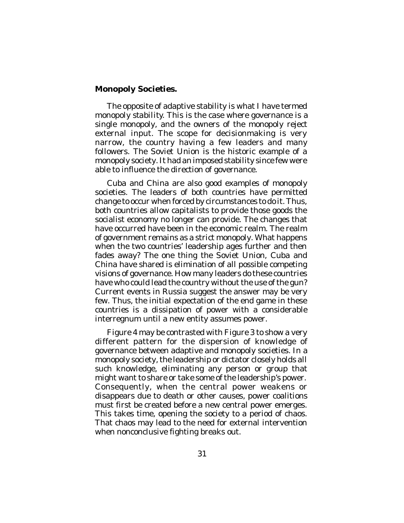#### **Monopoly Societies.**

The opposite of adaptive stability is what I have termed *monopoly stability*. This is the case where governance is a single monopoly, and the owners of the monopoly reject external input. The scope for decisionmaking is very narrow, the country having a few leaders and many followers. The Soviet Union is the historic example of a monopoly society. It had an imposed stability since few were able to influence the direction of governance.

Cuba and China are also good examples of monopoly societies. The leaders of both countries have permitted change to occur when forced by circumstances to do it. Thus, both countries allow capitalists to provide those goods the socialist economy no longer can provide. The changes that have occurred have been in the economic realm. The realm of government remains as a strict monopoly. What happens when the two countries' leadership ages further and then fades away? The one thing the Soviet Union, Cuba and China have shared is elimination of all possible competing visions of governance. How many leaders do these countries have who could lead the country without the use of the gun? Current events in Russia suggest the answer may be very few. Thus, the initial expectation of the end game in these countries is a dissipation of power with a considerable interregnum until a new entity assumes power.

Figure 4 may be contrasted with Figure 3 to show a very different pattern for the dispersion of knowledge of governance between adaptive and monopoly societies. In a monopoly society, the leadership or dictator closely holds all such knowledge, eliminating any person or group that might want to share or take some of the leadership's power. Consequently, when the central power weakens or disappears due to death or other causes, power coalitions must first be created before a new central power emerges. This takes time, opening the society to a period of chaos. That chaos may lead to the need for external intervention when nonconclusive fighting breaks out.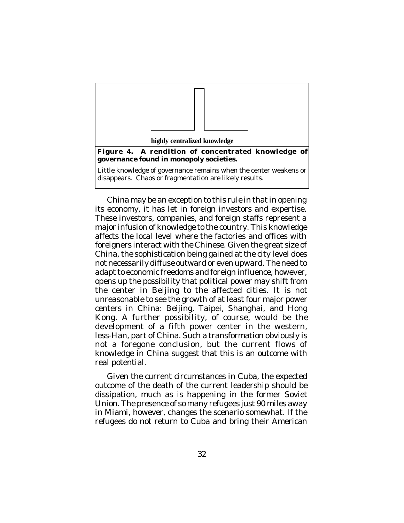

China may be an exception to this rule in that in opening its economy, it has let in foreign investors and expertise. These investors, companies, and foreign staffs represent a major infusion of knowledge to the country. This knowledge affects the local level where the factories and offices with foreigners interact with the Chinese. Given the great size of China, the sophistication being gained at the city level does not necessarily diffuse outward or even upward. The need to adapt to economic freedoms and foreign influence, however, opens up the possibility that political power may shift from the center in Beijing to the affected cities. It is not unreasonable to see the growth of at least four major power centers in China: Beijing, Taipei, Shanghai, and Hong Kong. A further possibility, of course, would be the development of a fifth power center in the western, less-Han, part of China. Such a transformation obviously is not a foregone conclusion, but the current flows of knowledge in China suggest that this is an outcome with real potential.

Given the current circumstances in Cuba, the expected outcome of the death of the current leadership should be dissipation, much as is happening in the former Soviet Union. The presence of so many refugees just 90 miles away in Miami, however, changes the scenario somewhat. If the refugees do not return to Cuba and bring their American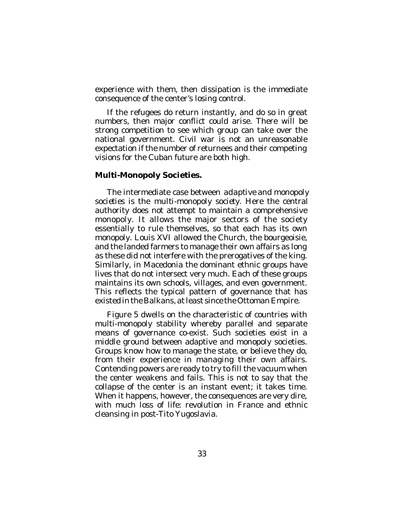experience with them, then dissipation is the immediate consequence of the center's losing control.

If the refugees do return instantly, and do so in great numbers, then major conflict could arise. There will be strong competition to see which group can take over the national government. Civil war is not an unreasonable expectation if the number of returnees and their competing visions for the Cuban future are both high.

#### **Multi-Monopoly Societies.**

The intermediate case between *adaptive* and *monopoly societies* is the *multi-monopoly society.* Here the central authority does not attempt to maintain a comprehensive monopoly. It allows the major sectors of the society essentially to rule themselves, so that each has its own monopoly. Louis XVI allowed the Church, the bourgeoisie, and the landed farmers to manage their own affairs as long as these did not interfere with the prerogatives of the king. Similarly, in Macedonia the dominant ethnic groups have lives that do not intersect very much. Each of these groups maintains its own schools, villages, and even government. This reflects the typical pattern of governance that has existed in the Balkans, at least since the Ottoman Empire.

Figure 5 dwells on the characteristic of countries with multi-monopoly stability whereby parallel and separate means of governance co-exist. Such societies exist in a middle ground between adaptive and monopoly societies. Groups know how to manage the state, or believe they do, from their experience in managing their own affairs. Contending powers are ready to try to fill the vacuum when the center weakens and fails. This is not to say that the collapse of the center is an instant event; it takes time. When it happens, however, the consequences are very dire, with much loss of life: revolution in France and ethnic cleansing in post-Tito Yugoslavia.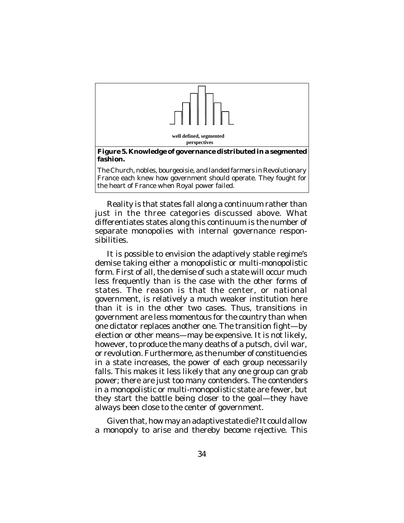

**well defined, segmented perspectives**

**Figure 5. Knowledge of governance distributed in a segmented fashion.** 

The Church, nobles, bourgeoisie, and landed farmers in Revolutionary France each knew how government should operate. They fought for the heart of France when Royal power failed.

Reality is that states fall along a continuum rather than just in the three categories discussed above. What differentiates states along this continuum is the number of separate monopolies with internal governance responsibilities.

It is possible to envision the adaptively stable regime's demise taking either a monopolistic or multi-monopolistic form. First of all, the demise of such a state will occur much less frequently than is the case with the other forms of states. The reason is that the center, or national government, is relatively a much weaker institution here than it is in the other two cases. Thus, transitions in government are less momentous for the country than when one dictator replaces another one. The transition fight—by election or other means—may be expensive. It is not likely, however, to produce the many deaths of a putsch, civil war, or revolution. Furthermore, as the number of constituencies in a state increases, the power of each group necessarily falls. This makes it less likely that any one group can grab power; there are just too many contenders. The contenders in a monopolistic or multi-monopolistic state are fewer, but they start the battle being closer to the goal—they have always been close to the center of government.

Given that, how may an adaptive state die? It could allow a monopoly to arise and thereby become rejective. This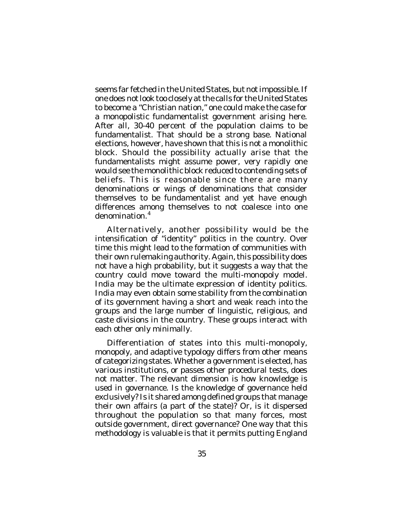seems far fetched in the United States, but not impossible. If one does *not* look too closely at the calls for the United States to become a "Christian nation," one could make the case for a monopolistic fundamentalist government arising here. After all, 30-40 percent of the population claims to be fundamentalist. That should be a strong base. National elections, however, have shown that this is not a monolithic block. Should the possibility actually arise that the fundamentalists might assume power, very rapidly one would see the monolithic block reduced to contending sets of beliefs. This is reasonable since there are many denominations or wings of denominations that consider themselves to be fundamentalist and yet have enough differences among themselves to not coalesce into one denomination. 4

Alternatively, another possibility would be the intensification of "identity" politics in the country. Over time this might lead to the formation of communities with their own rulemaking authority. Again, this possibility does not have a high probability, but it suggests a way that the country could move toward the multi-monopoly model. India may be the ultimate expression of identity politics. India may even obtain some stability from the combination of its government having a short and weak reach into the groups and the large number of linguistic, religious, and caste divisions in the country. These groups interact with each other only minimally.

Differentiation of states into this multi-monopoly, monopoly, and adaptive typology differs from other means of categorizing states. Whether a government is elected, has various institutions, or passes other procedural tests, does not matter. The relevant dimension is how knowledge is used in governance. Is the knowledge of governance held exclusively? Is it shared among defined groups that manage their own affairs (a part of the state)? Or, is it dispersed throughout the population so that many forces, most outside government, direct governance? One way that this **The setting setting** is valuable is that it permits putting England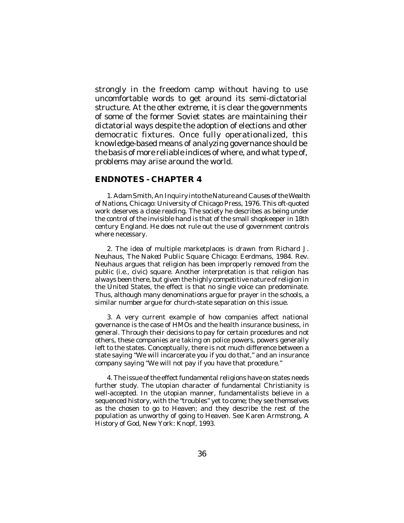strongly in the freedom camp without having to use uncomfortable words to get around its semi-dictatorial structure. At the other extreme, it is clear the governments of some of the former Soviet states are maintaining their dictatorial ways despite the adoption of elections and other democratic fixtures. Once fully operationalized, this knowledge-based means of analyzing governance should be the basis of more reliable indices of where, and what type of, problems may arise around the world.

#### **ENDNOTES - CHAPTER 4**

1. Adam Smith, *An Inquiry into the Nature and Causes of the Wealth of Nations*, Chicago: University of Chicago Press, 1976. This oft-quoted work deserves a close reading. The society he describes as being under the control of the invisible hand is that of the small shopkeeper in 18th century England. He does not rule out the use of government controls where necessary.

2. The idea of multiple marketplaces is drawn from Richard J. Neuhaus, *The Naked Public Square*, Chicago: Eerdmans, 1984. Rev. Neuhaus argues that religion has been improperly removed from the public (i.e., civic) square. Another interpretation is that religion has always been there, but given the highly competitive nature of religion in the United States, the effect is that no single voice can predominate. Thus, although many denominations argue for prayer in the schools, a similar number argue for church-state separation on this issue.

3. A very current example of how companies affect national governance is the case of HMOs and the health insurance business, in general. Through their decisions to pay for certain procedures and not others, these companies are taking on police powers, powers generally left to the states. Conceptually, there is not much difference between a state saying "We will incarcerate you if you do that," and an insurance company saying "We will not pay if you have that procedure."

4. The issue of the effect fundamental religions have on states needs further study. The utopian character of fundamental Christianity is well-accepted. In the utopian manner, fundamentalists believe in a sequenced history, with the "troubles" yet to come; they see themselves as the chosen to go to Heaven; and they describe the rest of the population as unworthy of going to Heaven. See Karen Armstrong, *A History of God*, New York: Knopf, 1993.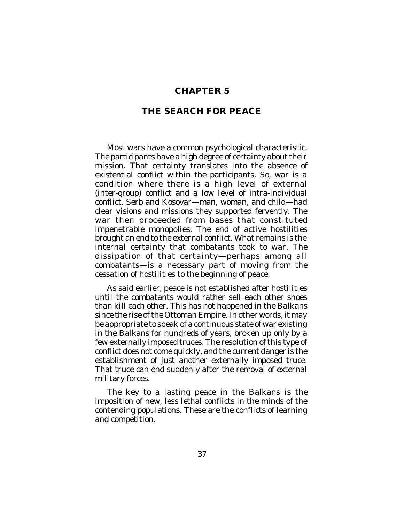## **CHAPTER 5**

## **THE SEARCH FOR PEACE**

Most wars have a common psychological characteristic. The participants have a high degree of certainty about their mission. That certainty translates into the absence of existential conflict within the participants. So, war is a condition where there is a high level of external (inter-group) conflict and a low level of intra-individual conflict. Serb and Kosovar—man, woman, and child—had clear visions and missions they supported fervently. The war then proceeded from bases that constituted impenetrable monopolies. The end of active hostilities brought an end to the external conflict. What remains is the internal certainty that combatants took to war. The dissipation of that certainty—perhaps among all combatants—is a necessary part of moving from the cessation of hostilities to the beginning of peace.

As said earlier, peace is not established after hostilities until the combatants would rather sell each other shoes than kill each other. This has not happened in the Balkans since the rise of the Ottoman Empire. In other words, it may be appropriate to speak of a continuous state of war existing in the Balkans for hundreds of years, broken up only by a few externally imposed truces. The resolution of this type of conflict does not come quickly, and the current danger is the establishment of just another externally imposed truce. That truce can end suddenly after the removal of external military forces.

The key to a lasting peace in the Balkans is the imposition of new, less lethal conflicts in the minds of the contending populations. These are the conflicts of learning and competition.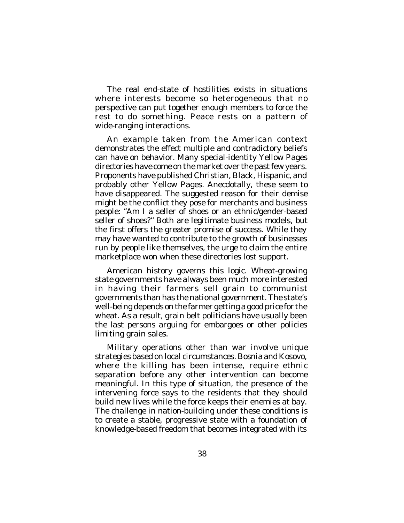The real end-state of hostilities exists in situations where interests become so heterogeneous that no perspective can put together enough members to force the rest to do something. Peace rests on a pattern of wide-ranging interactions.

An example taken from the American context demonstrates the effect multiple and contradictory beliefs can have on behavior. Many special-identity Yellow Pages directories have come on the market over the past few years. Proponents have published Christian, Black, Hispanic, and probably other Yellow Pages. Anecdotally, these seem to have disappeared. The suggested reason for their demise might be the conflict they pose for merchants and business people: "Am I a seller of shoes or an ethnic/gender-based seller of shoes?" Both are legitimate business models, but the first offers the greater promise of success. While they may have wanted to contribute to the growth of businesses run by people like themselves, the urge to claim the entire marketplace won when these directories lost support.

American history governs this logic. Wheat-growing state governments have always been much more interested in having their farmers sell grain to communist governments than has the national government. The state's well-being depends on the farmer getting a good price for the wheat. As a result, grain belt politicians have usually been the last persons arguing for embargoes or other policies limiting grain sales.

Military operations other than war involve unique strategies based on local circumstances. Bosnia and Kosovo, where the killing has been intense, require ethnic separation before any other intervention can become meaningful. In this type of situation, the presence of the intervening force says to the residents that they should build new lives while the force keeps their enemies at bay. The challenge in nation-building under these conditions is to create a stable, progressive state with a foundation of knowledge-based freedom that becomes integrated with its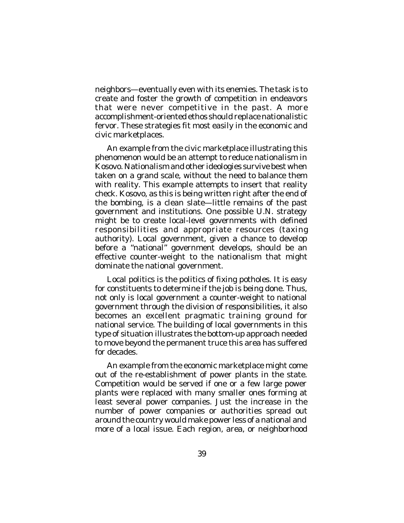neighbors—eventually even with its enemies. The task is to create and foster the growth of competition in endeavors that were never competitive in the past. A more accomplishment-oriented ethos should replace nationalistic fervor. These strategies fit most easily in the economic and civic marketplaces.

An example from the civic marketplace illustrating this phenomenon would be an attempt to reduce nationalism in .<br>Kosovo. Nationalism and other ideologies survive best when taken on a grand scale, without the need to balance them with reality. This example attempts to insert that reality check. Kosovo, as this is being written right after the end of the bombing, is a clean slate—little remains of the past government and institutions. One possible U.N. strategy might be to create local-level governments with defined responsibilities *and* appropriate resources (taxing authority). Local government, given a chance to develop before a "national" government develops, should be an effective counter-weight to the nationalism that might dominate the national government.

Local politics is the politics of fixing potholes. It is easy for constituents to determine if the job is being done. Thus, not only is local government a counter-weight to national government through the division of responsibilities, it also becomes an excellent pragmatic training ground for national service. The building of local governments in this type of situation illustrates the bottom-up approach needed to move beyond the permanent truce this area has suffered for decades.

An example from the economic marketplace might come out of the re-establishment of power plants in the state. Competition would be served if one or a few large power plants were replaced with many smaller ones forming at least several power companies. Just the increase in the number of power companies or authorities spread out around the country would make power less of a national and more of a local issue. Each region, area, or neighborhood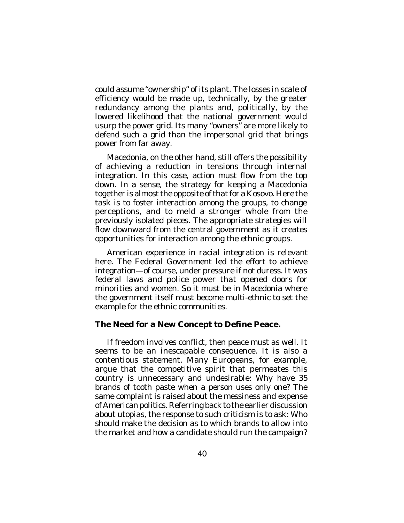could assume "ownership" of its plant. The losses in scale of efficiency would be made up, technically, by the greater redundancy among the plants and, politically, by the lowered likelihood that the national government would usurp the power grid. Its many "owners" are more likely to defend such a grid than the impersonal grid that brings power from far away.

Macedonia, on the other hand, still offers the possibility of achieving a reduction in tensions through internal integration. In this case, action must flow from the top down. In a sense, the strategy for keeping a Macedonia together is almost the opposite of that for a Kosovo. Here the task is to foster interaction among the groups, to change perceptions, and to meld a stronger whole from the previously isolated pieces. The appropriate strategies will flow downward from the central government as it creates opportunities for interaction among the ethnic groups.

American experience in racial integration is relevant here. The Federal Government led the effort to achieve integration—of course, under pressure if not duress. It was federal laws and police power that opened doors for minorities and women. So it must be in Macedonia where the government itself must become multi-ethnic to set the example for the ethnic communities.

#### **The Need for a New Concept to Define Peace.**

If freedom involves conflict, then peace must as well. It seems to be an inescapable consequence. It is also a contentious statement. Many Europeans, for example, argue that the competitive spirit that permeates this country is unnecessary and undesirable: Why have 35 brands of tooth paste when a person uses only one? The same complaint is raised about the messiness and expense of American politics. Referring back to the earlier discussion about utopias, the response to such criticism is to ask: Who should make the decision as to which brands to allow into the market and how a candidate should run the campaign?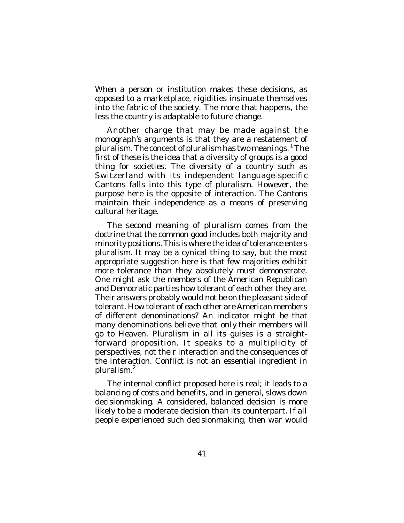When a person or institution makes these decisions, as opposed to a marketplace, rigidities insinuate themselves into the fabric of the society. The more that happens, the less the country is adaptable to future change.

Another charge that may be made against the monograph's arguments is that they are a restatement of pluralism. The concept of pluralism has two meanings. <sup>1</sup> The first of these is the idea that a diversity of groups is a good thing for societies. The diversity of a country such as Switzerland with its independent language-specific Cantons falls into this type of pluralism. However, the purpose here is the opposite of interaction. The Cantons maintain their independence as a means of preserving cultural heritage.

The second meaning of pluralism comes from the doctrine that the common good includes both majority and minority positions. This is where the idea of tolerance enters pluralism. It may be a cynical thing to say, but the most appropriate suggestion here is that few majorities exhibit more tolerance than they absolutely must demonstrate. One might ask the members of the American Republican and Democratic parties how tolerant of each other they are. Their answers probably would not be on the pleasant side of tolerant. How tolerant of each other are American members of different denominations? An indicator might be that many denominations believe that *only* their members will go to Heaven. Pluralism in all its guises is a straightforward proposition. It speaks to a multiplicity of perspectives, not their interaction and the consequences of the interaction. Conflict is not an essential ingredient in pluralism. 2

The internal conflict proposed here is real; it leads to a balancing of costs and benefits, and in general, slows down decisionmaking. A considered, balanced decision is more likely to be a moderate decision than its counterpart. If all people experienced such decisionmaking, then war would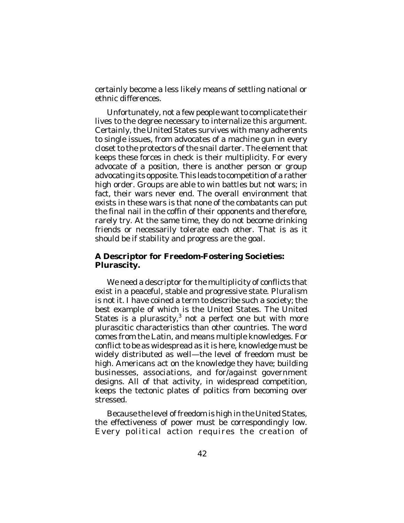certainly become a less likely means of settling national or ethnic differences.

Unfortunately, not a few people want to complicate their lives to the degree necessary to internalize this argument. Certainly, the United States survives with many adherents to single issues, from advocates of a machine gun in every closet to the protectors of the snail darter. The element that keeps these forces in check is their multiplicity. For every advocate of a position, there is another person or group advocating its opposite. This leads to competition of a rather high order. Groups are able to win battles but not wars; in fact, their wars never end. The overall environment that exists in these wars is that none of the combatants can put the final nail in the coffin of their opponents and therefore, rarely try. At the same time, they do not become drinking friends or necessarily tolerate each other. That is as it should be if stability and progress are the goal.

#### **A Descriptor for Freedom-Fostering Societies: Plurascity.**

We need a descriptor for the multiplicity of conflicts that exist in a peaceful, stable and progressive state. Pluralism is not it. I have coined a term to describe such a society; the best example of which is the United States. The United States is a *plurascity*,<sup>3</sup> not a perfect one but with more plurascitic characteristics than other countries. The word comes from the Latin, and means multiple knowledges. For conflict to be as widespread as it is here, knowledge must be widely distributed as well—the level of freedom must be high. Americans act on the knowledge they have; building businesses, associations, and for/against government designs. All of that activity, in widespread competition, keeps the tectonic plates of politics from becoming over stressed.

Because the level of freedom is high in the United States, the effectiveness of power must be correspondingly low. Every political action requires the creation of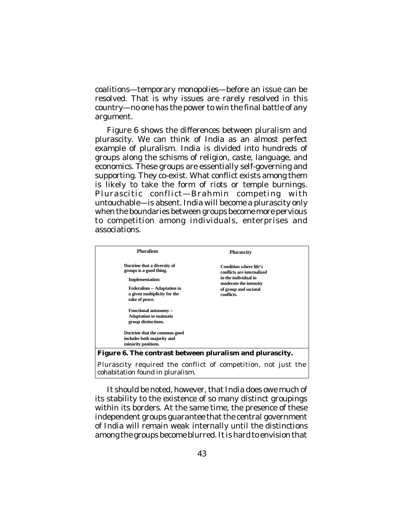coalitions—temporary monopolies—before an issue can be resolved. That is why issues are rarely resolved in this country—no one has the power to win the final battle of any argument.

Figure 6 shows the differences between pluralism and plurascity. We can think of India as an almost perfect example of pluralism. India is divided into hundreds of groups along the schisms of religion, caste, language, and economics. These groups are essentially self-governing and supporting. They co-exist. What conflict exists among them is likely to take the form of riots or temple burnings. Plurascitic conflict—Brahmin competing with untouchable—is absent. India will become a plurascity only when the boundaries between groups become more pervious to competition among individuals, enterprises and associations.

| <b>Pluralism</b>                                         | <b>Plurascity</b>                                           |
|----------------------------------------------------------|-------------------------------------------------------------|
| Doctrine that a diversity of<br>groups is a good thing.  | <b>Condition where life's</b><br>conflicts are internalized |
| <b>Implementation:</b>                                   | in the individual to<br>moderate the intensity              |
| <b>Federalism -- Adaptation to</b>                       | of group and sociatal                                       |
| a given multiplicity for the<br>sake of peace.           | conflicts.                                                  |
| <b>Functional autonomy --</b>                            |                                                             |
| <b>Adaptation to maintain</b>                            |                                                             |
| group distinctions.                                      |                                                             |
| Doctrine that the common good                            |                                                             |
| includes both majority and                               |                                                             |
| minority positions.                                      |                                                             |
| Figure 6. The contrast between pluralism and plurascity. |                                                             |

Plurascity required the conflict of competition, not just the cohabitation found in pluralism.

It should be noted, however, that India does owe much of its stability to the existence of so many distinct groupings within its borders. At the same time, the presence of these independent groups guarantee that the central government of India will remain weak internally until the distinctions among the groups become blurred. It is hard to envision that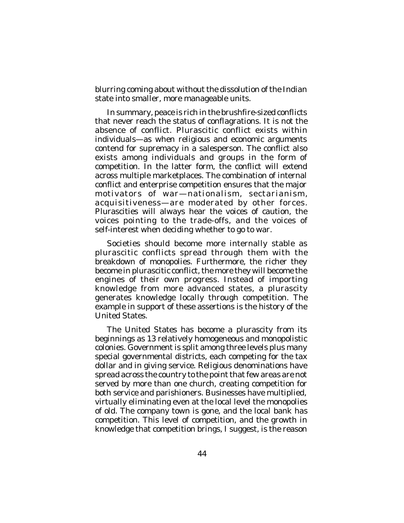blurring coming about without the dissolution of the Indian state into smaller, more manageable units.

In summary, peace is rich in the brushfire-sized conflicts that never reach the status of conflagrations. It is not the absence of conflict. Plurascitic conflict exists within individuals—as when religious and economic arguments contend for supremacy in a salesperson. The conflict also exists among individuals and groups in the form of competition. In the latter form, the conflict will extend across multiple marketplaces. The combination of internal conflict and enterprise competition ensures that the major motivators of war—nationalism, sectarianism, acquisitiveness—are moderated by other forces. Plurascities will always hear the voices of caution, the voices pointing to the trade-offs, and the voices of self-interest when deciding whether to go to war.

Societies should become more internally stable as plurascitic conflicts spread through them with the breakdown of monopolies. Furthermore, the richer they become in plurascitic conflict, the more they will become the engines of their own progress. Instead of importing knowledge from more advanced states, a plurascity generates knowledge locally through competition. The example in support of these assertions is the history of the United States.

The United States has become a plurascity from its beginnings as 13 relatively homogeneous and monopolistic colonies. Government is split among three levels plus many special governmental districts, each competing for the tax dollar and in giving service. Religious denominations have spread across the country to the point that few areas are not served by more than one church, creating competition for both service and parishioners. Businesses have multiplied, virtually eliminating even at the local level the monopolies of old. The company town is gone, and the local bank has competition. This level of competition, and the growth in knowledge that competition brings, I suggest, is the reason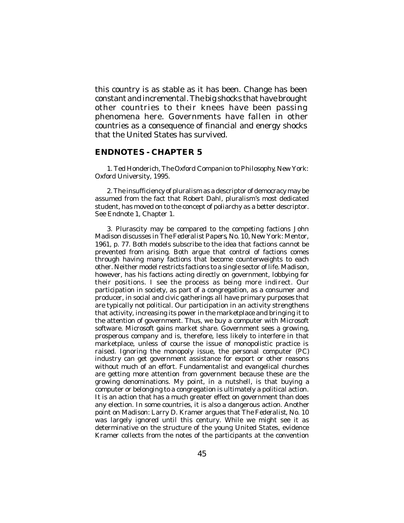this country is as stable as it has been. Change has been constant and incremental. The big shocks that have brought other countries to their knees have been passing phenomena here. Governments have fallen in other countries as a consequence of financial and energy shocks that the United States has survived.

#### **ENDNOTES - CHAPTER 5**

1. Ted Honderich, *The Oxford Companion to Philosophy*, New York: Oxford University, 1995.

2. The insufficiency of pluralism as a descriptor of democracy may be assumed from the fact that Robert Dahl, pluralism's most dedicated student, has moved on to the concept of poliarchy as a better descriptor. See Endnote 1, Chapter 1.

3. Plurascity may be compared to the competing factions John Madison discusses in *The Federalist Papers*, No. 10, New York: Mentor, 1961, p. 77. Both models subscribe to the idea that factions cannot be prevented from arising. Both argue that control of factions comes through having many factions that become counterweights to each other. Neither model restricts factions to a single sector of life. Madison, however, has his factions acting directly on government, lobbying for their positions. I see the process as being more indirect. Our participation in society, as part of a congregation, as a consumer and producer, in social and civic gatherings all have primary purposes that are typically not political. Our participation in an activity strengthens that activity, increasing its power in the marketplace and bringing it to the attention of government. Thus, we buy a computer with Microsoft software. Microsoft gains market share. Government sees a growing, prosperous company and is, therefore, less likely to interfere in that marketplace, unless of course the issue of monopolistic practice is raised. Ignoring the monopoly issue, the personal computer (PC) industry can get government assistance for export or other reasons without much of an effort. Fundamentalist and evangelical churches are getting more attention from government because these are the growing denominations. My point, in a nutshell, is that buying a computer or belonging to a congregation is ultimately a political action. It is an action that has a much greater effect on government than does any election. In some countries, it is also a dangerous action. Another point on Madison: Larry D. Kramer argues that *The Federalist*, No. 10 was largely ignored until this century. While we might see it as determinative on the structure of the young United States, evidence Kramer collects from the notes of the participants at the convention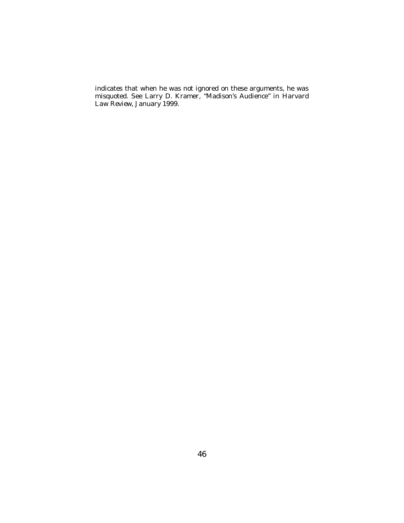indicates that when he was not ignored on these arguments, he was misquoted. See Larry D. Kramer, "Madison's Audience" in *Harvard Law Review*, January 1999.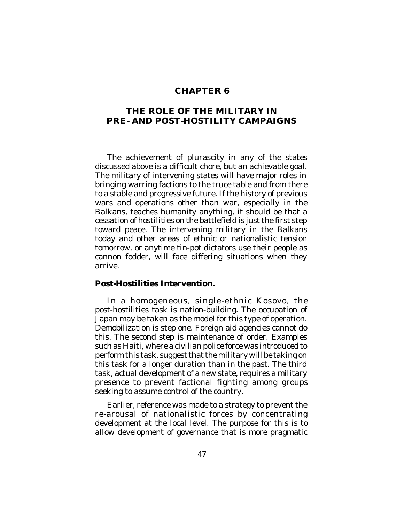## **CHAPTER 6**

## **THE ROLE OF THE MILITARY IN PRE- AND POST-HOSTILITY CAMPAIGNS**

The achievement of plurascity in any of the states discussed above is a difficult chore, but an achievable goal. The military of intervening states will have major roles in bringing warring factions to the truce table and from there to a stable and progressive future. If the history of previous wars and operations other than war, especially in the Balkans, teaches humanity anything, it should be that a cessation of hostilities on the battlefield is just the first step toward peace. The intervening military in the Balkans today and other areas of ethnic or nationalistic tension tomorrow, or anytime tin-pot dictators use their people as cannon fodder, will face differing situations when they arrive.

#### **Post-Hostilities Intervention.**

In a homogeneous, single-ethnic Kosovo, the post-hostilities task is nation-building. The occupation of Japan may be taken as the model for this type of operation. Demobilization is step one. Foreign aid agencies cannot do this. The second step is maintenance of order. Examples such as Haiti, where a civilian police force was introduced to perform this task, suggest that the military will be taking on this task for a longer duration than in the past. The third task, actual development of a new state, requires a military presence to prevent factional fighting among groups seeking to assume control of the country.

Earlier, reference was made to a strategy to prevent the re-arousal of nationalistic forces by concentrating development at the local level. The purpose for this is to allow development of governance that is more pragmatic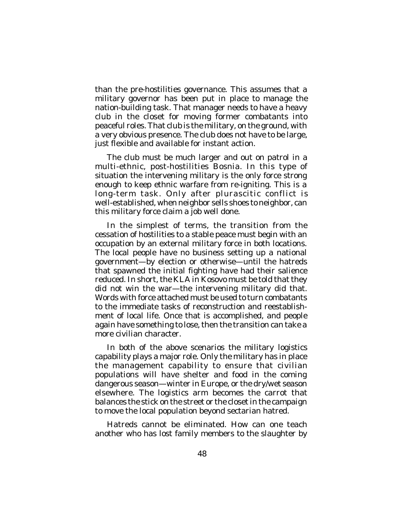than the pre-hostilities governance. This assumes that a military governor has been put in place to manage the nation-building task. That manager needs to have a heavy club in the closet for moving former combatants into peaceful roles. That club is the military, on the ground, with a very obvious presence. The club does not have to be large, just flexible and available for instant action.

The club must be much larger and out on patrol in a multi-ethnic, post-hostilities Bosnia. In this type of situation the intervening military is the only force strong enough to keep ethnic warfare from re-igniting. This is a long-term task. Only after plurascitic conflict is well-established, when neighbor sells shoes to neighbor, can this military force claim a job well done.

In the simplest of terms, the transition from the cessation of hostilities to a stable peace must begin with an occupation by an external military force in both locations. The local people have no business setting up a national government—by election or otherwise—until the hatreds that spawned the initial fighting have had their salience reduced. In short, the KLA in Kosovo must be told that they did not win the war—the intervening military did that. Words with force attached must be used to turn combatants to the immediate tasks of reconstruction and reestablishment of local life. Once that is accomplished, and people again have something to lose, then the transition can take a more civilian character.

In both of the above scenarios the military logistics capability plays a major role. Only the military has in place the management capability to ensure that civilian populations will have shelter and food in the coming dangerous season—winter in Europe, or the dry/wet season elsewhere. The logistics arm becomes the carrot that balances the stick on the street or the closet in the campaign to move the local population beyond sectarian hatred.

Hatreds cannot be eliminated. How can one teach another who has lost family members to the slaughter by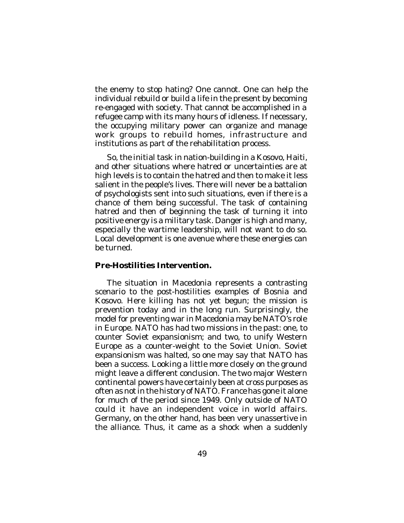the enemy to stop hating? One cannot. One can help the individual rebuild or build a life in the present by becoming re-engaged with society. That cannot be accomplished in a refugee camp with its many hours of idleness. If necessary, the occupying military power can organize and manage work groups to rebuild homes, infrastructure and institutions as part of the rehabilitation process.

So, the initial task in nation-building in a Kosovo, Haiti, and other situations where hatred or uncertainties are at high levels is to contain the hatred and then to make it less salient in the people's lives. There will never be a battalion of psychologists sent into such situations, even if there is a chance of them being successful. The task of containing hatred and then of beginning the task of turning it into positive energy is a military task. Danger is high and many, especially the wartime leadership, will not want to do so. Local development is one avenue where these energies can be turned.

## **Pre-Hostilities Intervention.**

The situation in Macedonia represents a contrasting scenario to the post-hostilities examples of Bosnia and Kosovo. Here killing has not yet begun; the mission is prevention today and in the long run. Surprisingly, the model for preventing war in Macedonia may be NATO's role in Europe. NATO has had two missions in the past: one, to counter Soviet expansionism; and two, to unify Western Europe as a counter-weight to the Soviet Union. Soviet expansionism was halted, so one may say that NATO has been a success. Looking a little more closely on the ground might leave a different conclusion. The two major Western continental powers have certainly been at cross purposes as often as not in the history of NATO. France has gone it alone for much of the period since 1949. Only outside of NATO could it have an independent voice in world affairs. Germany, on the other hand, has been very unassertive in the alliance. Thus, it came as a shock when a suddenly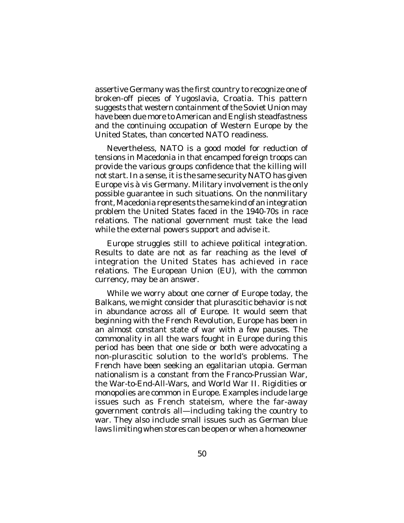assertive Germany was the first country to recognize one of broken-off pieces of Yugoslavia, Croatia. This pattern suggests that western containment of the Soviet Union may have been due more to American and English steadfastness and the continuing occupation of Western Europe by the United States, than concerted NATO readiness.

Nevertheless, NATO is a good model for reduction of tensions in Macedonia in that encamped foreign troops can provide the various groups confidence that the killing will not start. In a sense, it is the same security NATO has given Europe *vis à vis* Germany. Military involvement is the only possible guarantee in such situations. On the nonmilitary front, Macedonia represents the same kind of an integration problem the United States faced in the 1940-70s in race relations. The national government must take the lead while the external powers support and advise it.

Europe struggles still to achieve political integration. Results to date are not as far reaching as the level of integration the United States has achieved in race relations. The European Union (EU), with the common currency, may be an answer.

While we worry about one corner of Europe today, the Balkans, we might consider that plurascitic behavior is not in abundance across all of Europe. It would seem that beginning with the French Revolution, Europe has been in an almost constant state of war with a few pauses. The commonality in all the wars fought in Europe during this period has been that one side or both were advocating a non-plurascitic solution to the world's problems. The French have been seeking an egalitarian utopia. German nationalism is a constant from the Franco-Prussian War, the War-to-End-All-Wars, and World War II. Rigidities or monopolies are common in Europe. Examples include large issues such as French stateism, where the far-away government controls all—including taking the country to war. They also include small issues such as German blue laws limiting when stores can be open or when a homeowner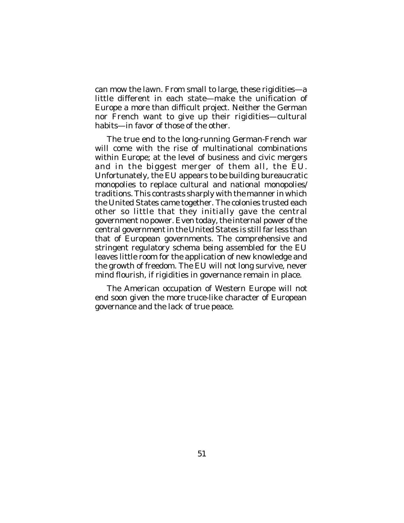can mow the lawn. From small to large, these rigidities—a little different in each state—make the unification of Europe a more than difficult project. Neither the German nor French want to give up their rigidities—cultural habits—in favor of those of the other.

The true end to the long-running German-French war will come with the rise of multinational combinations within Europe; at the level of business and civic mergers and in the biggest merger of them all, the EU. Unfortunately, the EU appears to be building bureaucratic monopolies to replace cultural and national monopolies/ traditions. This contrasts sharply with the manner in which the United States came together. The colonies trusted each other so little that they initially gave the central government no power. Even today, the internal power of the central government in the United States is still far less than that of European governments. The comprehensive and stringent regulatory schema being assembled for the EU leaves little room for the application of new knowledge and the growth of freedom. The EU will not long survive, never mind flourish, if rigidities in governance remain in place.

The American occupation of Western Europe will not end soon given the more truce-like character of European governance and the lack of true peace.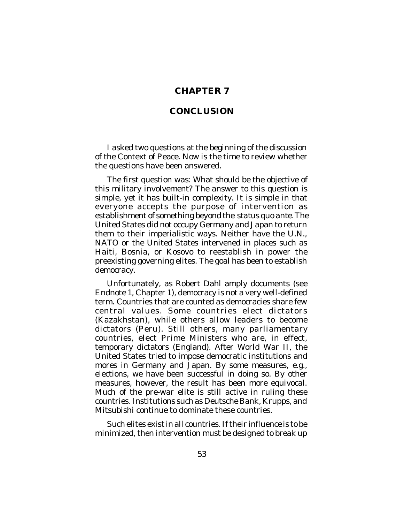## **CHAPTER 7**

## **CONCLUSION**

I asked two questions at the beginning of the discussion of the Context of Peace. Now is the time to review whether the questions have been answered.

The first question was: What should be the objective of this military involvement? The answer to this question is simple, yet it has built-in complexity. It is simple in that everyone accepts the purpose of intervention as establishment of something beyond the *status quo ante*. The United States did not occupy Germany and Japan to return them to their imperialistic ways. Neither have the U.N., NATO or the United States intervened in places such as Haiti, Bosnia, or Kosovo to reestablish in power the preexisting governing elites. The goal has been to establish democracy.

Unfortunately, as Robert Dahl amply documents (see Endnote 1, Chapter 1), democracy is not a very well-defined term. Countries that are counted as democracies share few central values. Some countries elect dictators (Kazakhstan), while others allow leaders to become dictators (Peru). Still others, many parliamentary countries, elect Prime Ministers who are, in effect, temporary dictators (England). After World War II, the United States tried to impose democratic institutions and mores in Germany and Japan. By some measures, e.g., elections, we have been successful in doing so. By other measures, however, the result has been more equivocal. Much of the pre-war elite is still active in ruling these countries. Institutions such as Deutsche Bank, Krupps, and Mitsubishi continue to dominate these countries.

Such elites exist in all countries. If their influence is to be minimized, then intervention must be designed to break up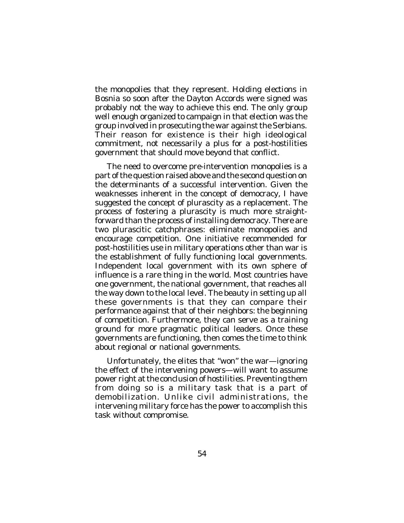the monopolies that they represent. Holding elections in Bosnia so soon after the Dayton Accords were signed was probably not the way to achieve this end. The only group well enough organized to campaign in that election was the group involved in prosecuting the war against the Serbians. Their reason for existence is their high ideological commitment, not necessarily a plus for a post-hostilities government that should move beyond that conflict.

The need to overcome pre-intervention monopolies is a part of the question raised above and the second question on the determinants of a successful intervention. Given the weaknesses inherent in the concept of democracy, I have suggested the concept of plurascity as a replacement. The process of fostering a plurascity is much more straightforward than the process of installing democracy. There are two plurascitic catchphrases: eliminate monopolies and encourage competition. One initiative recommended for post-hostilities use in military operations other than war is the establishment of fully functioning local governments. Independent local government with its own sphere of influence is a rare thing in the world. Most countries have one government, the national government, that reaches all the way down to the local level. The beauty in setting up all these governments is that they can compare their performance against that of their neighbors: the beginning of competition. Furthermore, they can serve as a training ground for more pragmatic political leaders. Once these governments are functioning, then comes the time to think about regional or national governments.

Unfortunately, the elites that "won" the war—ignoring the effect of the intervening powers—will want to assume power right at the conclusion of hostilities. Preventing them from doing so is a military task that is a part of demobilization. Unlike civil administrations, the intervening military force has the power to accomplish this task without compromise.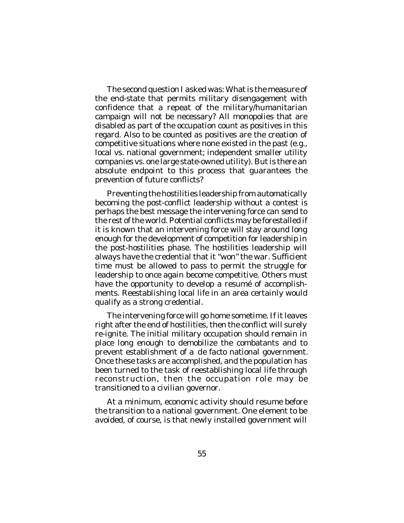The second question I asked was: What is the measure of the end-state that permits military disengagement with confidence that a repeat of the military/humanitarian campaign will not be necessary? All monopolies that are disabled as part of the occupation count as positives in this regard. Also to be counted as positives are the creation of competitive situations where none existed in the past (e.g., local vs. national government; independent smaller utility companies vs. one large state-owned utility). But is there an absolute endpoint to this process that guarantees the prevention of future conflicts?

Preventing the hostilities leadership from automatically becoming the post-conflict leadership without a contest is perhaps the best message the intervening force can send to the rest of the world. Potential conflicts may be forestalled if it is known that an intervening force will stay around long enough for the development of competition for leadership in the post-hostilities phase. The hostilities leadership will always have the credential that it "won" the war. Sufficient time must be allowed to pass to permit the struggle for leadership to once again become competitive. Others must have the opportunity to develop a resumé of accomplishments. Reestablishing local life in an area certainly would qualify as a strong credential.

The intervening force will go home sometime. If it leaves right after the end of hostilities, then the conflict will surely re-ignite. The initial military occupation should remain in place long enough to demobilize the combatants and to prevent establishment of a *de facto* national government. Once these tasks are accomplished, and the population has been turned to the task of reestablishing local life through reconstruction, then the occupation role may be transitioned to a civilian governor.

At a minimum, economic activity should resume before the transition to a national government. One element to be avoided, of course, is that newly installed government will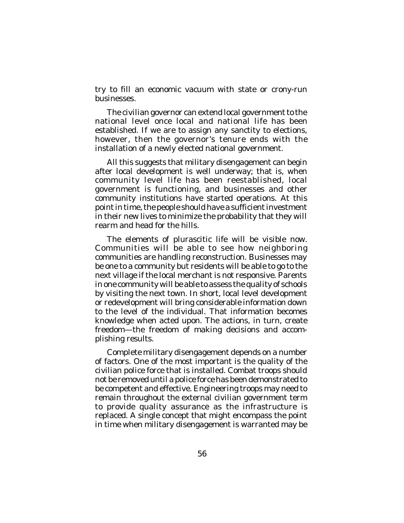try to fill an economic vacuum with state or crony-run businesses.

The civilian governor can extend local government to the national level once local and national life has been established. If we are to assign any sanctity to elections, however, then the governor's tenure ends with the installation of a newly elected national government.

All this suggests that military disengagement can begin after local development is well underway; that is, when community level life has been reestablished, local government is functioning, and businesses and other community institutions have started operations. At this point in time, the people should have a sufficient investment in their new lives to minimize the probability that they will rearm and head for the hills.

The elements of plurascitic life will be visible now. Communities will be able to see how neighboring communities are handling reconstruction. Businesses may be one to a community but residents will be able to go to the next village if the local merchant is not responsive. Parents in one community will be able to assess the quality of schools by visiting the next town. In short, local level development or redevelopment will bring considerable information down to the level of the individual. That information becomes knowledge when acted upon. The actions, in turn, create freedom—the freedom of making decisions and accomplishing results.

Complete military disengagement depends on a number of factors. One of the most important is the quality of the civilian police force that is installed. Combat troops should not be removed until a police force has been demonstrated to be competent and effective. Engineering troops may need to remain throughout the external civilian government term to provide quality assurance as the infrastructure is replaced. A single concept that might encompass the point in time when military disengagement is warranted may be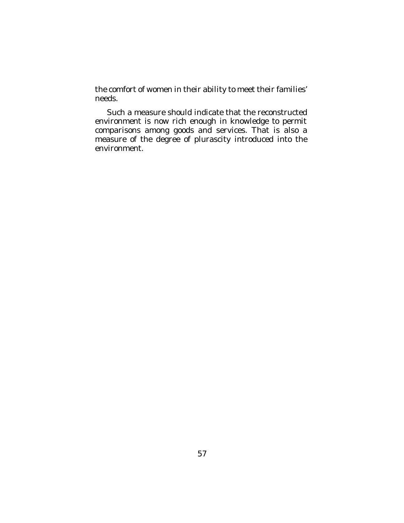the comfort of women in their ability to meet their families' needs.

Such a measure should indicate that the reconstructed environment is now rich enough in knowledge to permit comparisons among goods and services. That is also a measure of the degree of plurascity introduced into the environment.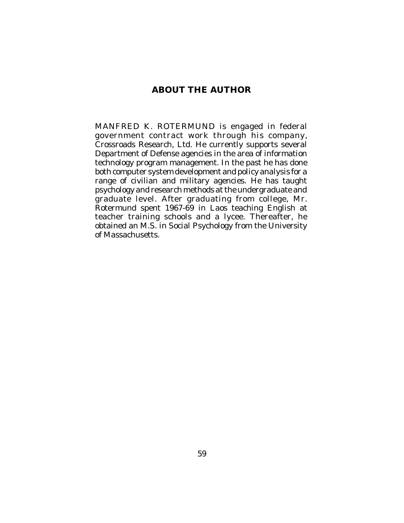# **ABOUT THE AUTHOR**

MANFRED K. ROTERMUND is engaged in federal government contract work through his company, Crossroads Research, Ltd. He currently supports several Department of Defense agencies in the area of information technology program management. In the past he has done both computer system development and policy analysis for a range of civilian and military agencies. He has taught psychology and research methods at the undergraduate and graduate level. After graduating from college, Mr. Rotermund spent 1967-69 in Laos teaching English at teacher training schools and a lycee. Thereafter, he obtained an M.S. in Social Psychology from the University of Massachusetts.